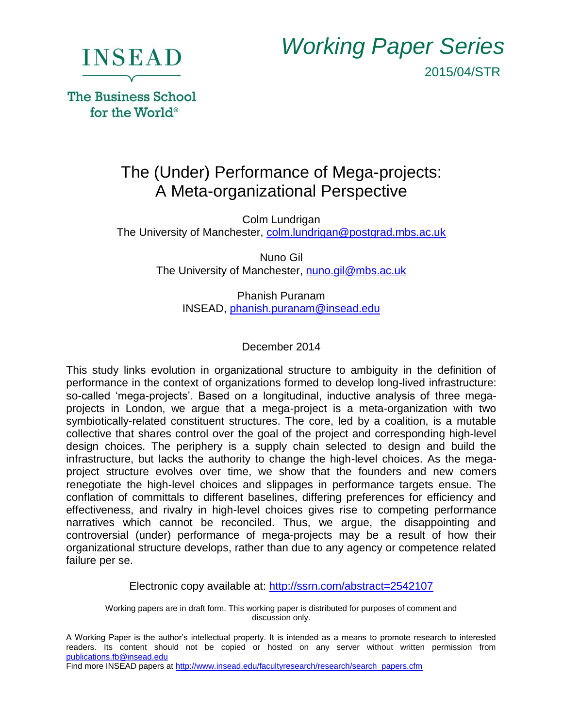



2015/04/STR

**The Business School** for the World®

# The (Under) Performance of Mega-projects: A Meta-organizational Perspective

Colm Lundrigan The University of Manchester, [colm.lundrigan@postgrad.mbs.ac.uk](mailto:colm.lundrigan@postgrad.mbs.ac.uk)

> Nuno Gil The University of Manchester, [nuno.gil@mbs.ac.uk](mailto:nuno.gil@mbs.ac.uk)

Phanish Puranam INSEAD, [phanish.puranam@insead.edu](mailto:phanish.puranam@insead.edu)

December 2014

This study links evolution in organizational structure to ambiguity in the definition of performance in the context of organizations formed to develop long-lived infrastructure: so-called 'mega-projects'. Based on a longitudinal, inductive analysis of three megaprojects in London, we argue that a mega-project is a meta-organization with two symbiotically-related constituent structures. The core, led by a coalition, is a mutable collective that shares control over the goal of the project and corresponding high-level design choices. The periphery is a supply chain selected to design and build the infrastructure, but lacks the authority to change the high-level choices. As the megaproject structure evolves over time, we show that the founders and new comers renegotiate the high-level choices and slippages in performance targets ensue. The conflation of committals to different baselines, differing preferences for efficiency and effectiveness, and rivalry in high-level choices gives rise to competing performance narratives which cannot be reconciled. Thus, we argue, the disappointing and controversial (under) performance of mega-projects may be a result of how their organizational structure develops, rather than due to any agency or competence related failure per se.

Electronic copy available at:<http://ssrn.com/abstract=2542107>

Working papers are in draft form. This working paper is distributed for purposes of comment and discussion only.

A Working Paper is the author's intellectual property. It is intended as a means to promote research to interested readers. Its content should not be copied or hosted on any server without written permission from [publications.fb@insead.edu](file:///C:/Users/oehler/OneDrive/Matt%20Oehler/Information%20&%20Publication/Working%20Paper/publications.fb@insead.edu)

Find more INSEAD papers at [http://www.insead.edu/facultyresearch/research/search\\_papers.cfm](http://www.insead.edu/facultyresearch/research/search_papers.cfm)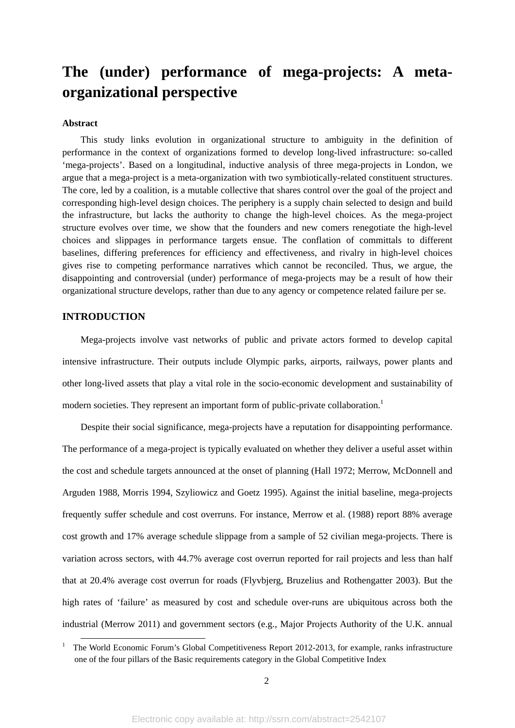# **The (under) performance of mega-projects: A metaorganizational perspective**

#### **Abstract**

This study links evolution in organizational structure to ambiguity in the definition of performance in the context of organizations formed to develop long-lived infrastructure: so-called 'mega-projects'. Based on a longitudinal, inductive analysis of three mega-projects in London, we argue that a mega-project is a meta-organization with two symbiotically-related constituent structures. The core, led by a coalition, is a mutable collective that shares control over the goal of the project and corresponding high-level design choices. The periphery is a supply chain selected to design and build the infrastructure, but lacks the authority to change the high-level choices. As the mega-project structure evolves over time, we show that the founders and new comers renegotiate the high-level choices and slippages in performance targets ensue. The conflation of committals to different baselines, differing preferences for efficiency and effectiveness, and rivalry in high-level choices gives rise to competing performance narratives which cannot be reconciled. Thus, we argue, the disappointing and controversial (under) performance of mega-projects may be a result of how their organizational structure develops, rather than due to any agency or competence related failure per se.

### **INTRODUCTION**

Mega-projects involve vast networks of public and private actors formed to develop capital intensive infrastructure. Their outputs include Olympic parks, airports, railways, power plants and other long-lived assets that play a vital role in the socio-economic development and sustainability of modern societies. They represent an important form of public-private collaboration.<sup>1</sup>

Despite their social significance, mega-projects have a reputation for disappointing performance. The performance of a mega-project is typically evaluated on whether they deliver a useful asset within the cost and schedule targets announced at the onset of planning (Hall 1972; Merrow, McDonnell and Arguden 1988, Morris 1994, Szyliowicz and Goetz 1995). Against the initial baseline, mega-projects frequently suffer schedule and cost overruns. For instance, Merrow et al. (1988) report 88% average cost growth and 17% average schedule slippage from a sample of 52 civilian mega-projects. There is variation across sectors, with 44.7% average cost overrun reported for rail projects and less than half that at 20.4% average cost overrun for roads (Flyvbjerg, Bruzelius and Rothengatter 2003). But the high rates of 'failure' as measured by cost and schedule over-runs are ubiquitous across both the industrial (Merrow 2011) and government sectors (e.g., Major Projects Authority of the U.K. annual

<sup>&</sup>lt;sup>1</sup> The World Economic Forum's Global Competitiveness Report 2012-2013, for example, ranks infrastructure one of the four pillars of the Basic requirements category in the Global Competitive Index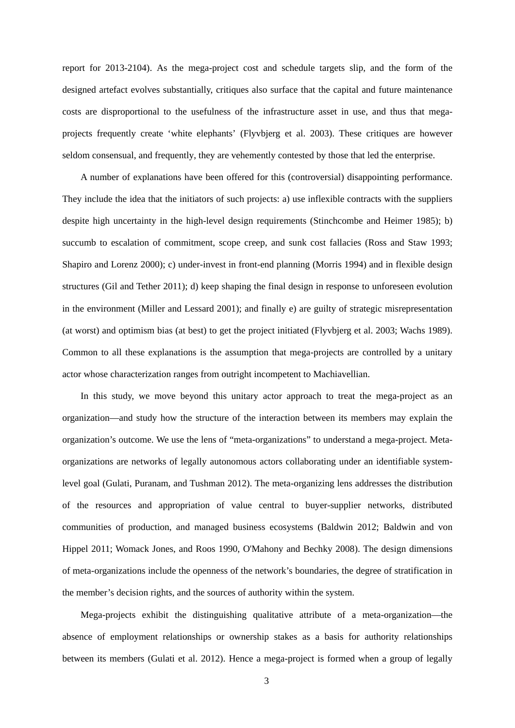report for 2013-2104). As the mega-project cost and schedule targets slip, and the form of the designed artefact evolves substantially, critiques also surface that the capital and future maintenance costs are disproportional to the usefulness of the infrastructure asset in use, and thus that megaprojects frequently create 'white elephants' (Flyvbjerg et al. 2003). These critiques are however seldom consensual, and frequently, they are vehemently contested by those that led the enterprise.

A number of explanations have been offered for this (controversial) disappointing performance. They include the idea that the initiators of such projects: a) use inflexible contracts with the suppliers despite high uncertainty in the high-level design requirements (Stinchcombe and Heimer 1985); b) succumb to escalation of commitment, scope creep, and sunk cost fallacies (Ross and Staw 1993; Shapiro and Lorenz 2000); c) under-invest in front-end planning (Morris 1994) and in flexible design structures (Gil and Tether 2011); d) keep shaping the final design in response to unforeseen evolution in the environment (Miller and Lessard 2001); and finally e) are guilty of strategic misrepresentation (at worst) and optimism bias (at best) to get the project initiated (Flyvbjerg et al. 2003; Wachs 1989). Common to all these explanations is the assumption that mega-projects are controlled by a unitary actor whose characterization ranges from outright incompetent to Machiavellian.

In this study, we move beyond this unitary actor approach to treat the mega-project as an organization—and study how the structure of the interaction between its members may explain the organization's outcome. We use the lens of "meta-organizations" to understand a mega-project. Metaorganizations are networks of legally autonomous actors collaborating under an identifiable systemlevel goal (Gulati, Puranam, and Tushman 2012). The meta-organizing lens addresses the distribution of the resources and appropriation of value central to buyer-supplier networks, distributed communities of production, and managed business ecosystems (Baldwin 2012; Baldwin and von Hippel 2011; Womack Jones, and Roos 1990, O'Mahony and Bechky 2008). The design dimensions of meta-organizations include the openness of the network's boundaries, the degree of stratification in the member's decision rights, and the sources of authority within the system.

Mega-projects exhibit the distinguishing qualitative attribute of a meta-organization—the absence of employment relationships or ownership stakes as a basis for authority relationships between its members (Gulati et al. 2012). Hence a mega-project is formed when a group of legally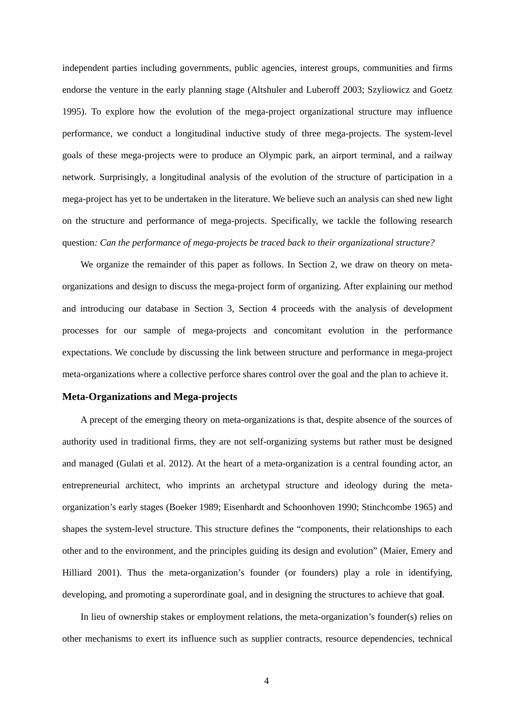independent parties including governments, public agencies, interest groups, communities and firms endorse the venture in the early planning stage (Altshuler and Luberoff 2003; Szyliowicz and Goetz 1995). To explore how the evolution of the mega-project organizational structure may influence performance, we conduct a longitudinal inductive study of three mega-projects. The system-level goals of these mega-projects were to produce an Olympic park, an airport terminal, and a railway network. Surprisingly, a longitudinal analysis of the evolution of the structure of participation in a mega-project has yet to be undertaken in the literature. We believe such an analysis can shed new light on the structure and performance of mega-projects. Specifically, we tackle the following research question*: Can the performance of mega-projects be traced back to their organizational structure?* 

We organize the remainder of this paper as follows. In Section 2, we draw on theory on metaorganizations and design to discuss the mega-project form of organizing. After explaining our method and introducing our database in Section 3, Section 4 proceeds with the analysis of development processes for our sample of mega-projects and concomitant evolution in the performance expectations. We conclude by discussing the link between structure and performance in mega-project meta-organizations where a collective perforce shares control over the goal and the plan to achieve it.

### **Meta-Organizations and Mega-projects**

A precept of the emerging theory on meta-organizations is that, despite absence of the sources of authority used in traditional firms, they are not self-organizing systems but rather must be designed and managed (Gulati et al. 2012). At the heart of a meta-organization is a central founding actor, an entrepreneurial architect, who imprints an archetypal structure and ideology during the metaorganization's early stages (Boeker 1989; Eisenhardt and Schoonhoven 1990; Stinchcombe 1965) and shapes the system-level structure. This structure defines the "components, their relationships to each other and to the environment, and the principles guiding its design and evolution" (Maier, Emery and Hilliard 2001). Thus the meta-organization's founder (or founders) play a role in identifying, developing, and promoting a superordinate goal, and in designing the structures to achieve that goa**l**.

In lieu of ownership stakes or employment relations, the meta-organization's founder(s) relies on other mechanisms to exert its influence such as supplier contracts, resource dependencies, technical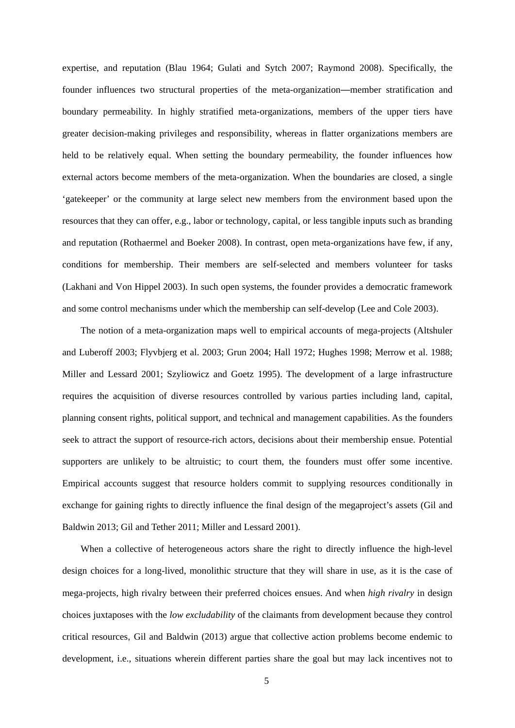expertise, and reputation (Blau 1964; Gulati and Sytch 2007; Raymond 2008). Specifically, the founder influences two structural properties of the meta-organization—member stratification and boundary permeability. In highly stratified meta-organizations, members of the upper tiers have greater decision-making privileges and responsibility, whereas in flatter organizations members are held to be relatively equal. When setting the boundary permeability, the founder influences how external actors become members of the meta-organization. When the boundaries are closed, a single 'gatekeeper' or the community at large select new members from the environment based upon the resources that they can offer, e.g., labor or technology, capital, or less tangible inputs such as branding and reputation (Rothaermel and Boeker 2008). In contrast, open meta-organizations have few, if any, conditions for membership. Their members are self-selected and members volunteer for tasks (Lakhani and Von Hippel 2003). In such open systems, the founder provides a democratic framework and some control mechanisms under which the membership can self-develop (Lee and Cole 2003).

The notion of a meta-organization maps well to empirical accounts of mega-projects (Altshuler and Luberoff 2003; Flyvbjerg et al. 2003; Grun 2004; Hall 1972; Hughes 1998; Merrow et al. 1988; Miller and Lessard 2001; Szyliowicz and Goetz 1995). The development of a large infrastructure requires the acquisition of diverse resources controlled by various parties including land, capital, planning consent rights, political support, and technical and management capabilities. As the founders seek to attract the support of resource-rich actors, decisions about their membership ensue. Potential supporters are unlikely to be altruistic; to court them, the founders must offer some incentive. Empirical accounts suggest that resource holders commit to supplying resources conditionally in exchange for gaining rights to directly influence the final design of the megaproject's assets (Gil and Baldwin 2013; Gil and Tether 2011; Miller and Lessard 2001).

When a collective of heterogeneous actors share the right to directly influence the high-level design choices for a long-lived, monolithic structure that they will share in use, as it is the case of mega-projects, high rivalry between their preferred choices ensues. And when *high rivalry* in design choices juxtaposes with the *low excludability* of the claimants from development because they control critical resources, Gil and Baldwin (2013) argue that collective action problems become endemic to development, i.e., situations wherein different parties share the goal but may lack incentives not to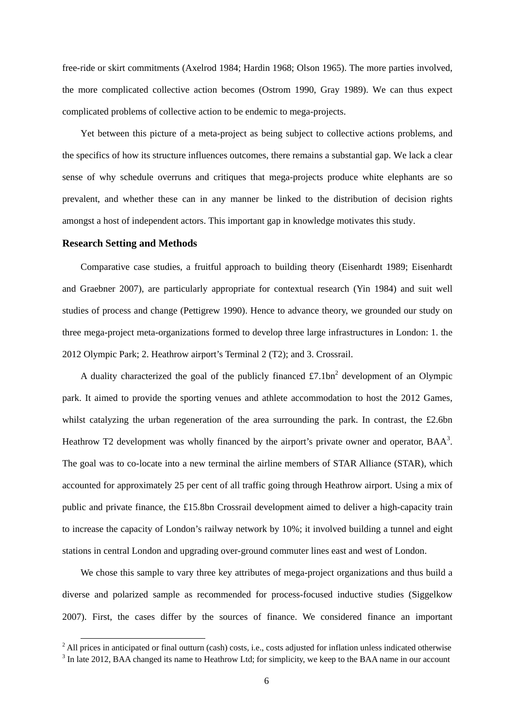free-ride or skirt commitments (Axelrod 1984; Hardin 1968; Olson 1965). The more parties involved, the more complicated collective action becomes (Ostrom 1990, Gray 1989). We can thus expect complicated problems of collective action to be endemic to mega-projects.

Yet between this picture of a meta-project as being subject to collective actions problems, and the specifics of how its structure influences outcomes, there remains a substantial gap. We lack a clear sense of why schedule overruns and critiques that mega-projects produce white elephants are so prevalent, and whether these can in any manner be linked to the distribution of decision rights amongst a host of independent actors. This important gap in knowledge motivates this study.

# **Research Setting and Methods**

Comparative case studies, a fruitful approach to building theory (Eisenhardt 1989; Eisenhardt and Graebner 2007), are particularly appropriate for contextual research (Yin 1984) and suit well studies of process and change (Pettigrew 1990). Hence to advance theory, we grounded our study on three mega-project meta-organizations formed to develop three large infrastructures in London: 1. the 2012 Olympic Park; 2. Heathrow airport's Terminal 2 (T2); and 3. Crossrail.

A duality characterized the goal of the publicly financed  $\text{\pounds}7.1\text{bn}^2$  development of an Olympic park. It aimed to provide the sporting venues and athlete accommodation to host the 2012 Games, whilst catalyzing the urban regeneration of the area surrounding the park. In contrast, the £2.6bn Heathrow T2 development was wholly financed by the airport's private owner and operator,  $BAA<sup>3</sup>$ . The goal was to co-locate into a new terminal the airline members of STAR Alliance (STAR), which accounted for approximately 25 per cent of all traffic going through Heathrow airport. Using a mix of public and private finance, the £15.8bn Crossrail development aimed to deliver a high-capacity train to increase the capacity of London's railway network by 10%; it involved building a tunnel and eight stations in central London and upgrading over-ground commuter lines east and west of London.

We chose this sample to vary three key attributes of mega-project organizations and thus build a diverse and polarized sample as recommended for process-focused inductive studies (Siggelkow 2007). First, the cases differ by the sources of finance. We considered finance an important

 $\frac{1}{2}$  All r <sup>2</sup> All prices in anticipated or final outturn (cash) costs, i.e., costs adjusted for inflation unless indicated otherwise  $\frac{3}{2}$  In late 2012, BAA abangad its name to Haethrow I td; for simplicity, we keen to the BAA <sup>3</sup> In late 2012, BAA changed its name to Heathrow Ltd; for simplicity, we keep to the BAA name in our account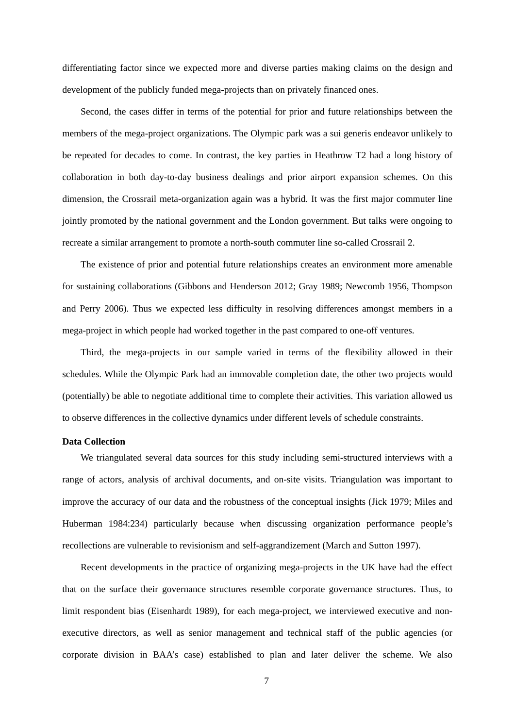differentiating factor since we expected more and diverse parties making claims on the design and development of the publicly funded mega-projects than on privately financed ones.

Second, the cases differ in terms of the potential for prior and future relationships between the members of the mega-project organizations. The Olympic park was a sui generis endeavor unlikely to be repeated for decades to come. In contrast, the key parties in Heathrow T2 had a long history of collaboration in both day-to-day business dealings and prior airport expansion schemes. On this dimension, the Crossrail meta-organization again was a hybrid. It was the first major commuter line jointly promoted by the national government and the London government. But talks were ongoing to recreate a similar arrangement to promote a north-south commuter line so-called Crossrail 2.

The existence of prior and potential future relationships creates an environment more amenable for sustaining collaborations (Gibbons and Henderson 2012; Gray 1989; Newcomb 1956, Thompson and Perry 2006). Thus we expected less difficulty in resolving differences amongst members in a mega-project in which people had worked together in the past compared to one-off ventures.

Third, the mega-projects in our sample varied in terms of the flexibility allowed in their schedules. While the Olympic Park had an immovable completion date, the other two projects would (potentially) be able to negotiate additional time to complete their activities. This variation allowed us to observe differences in the collective dynamics under different levels of schedule constraints.

#### **Data Collection**

We triangulated several data sources for this study including semi-structured interviews with a range of actors, analysis of archival documents, and on-site visits. Triangulation was important to improve the accuracy of our data and the robustness of the conceptual insights (Jick 1979; Miles and Huberman 1984:234) particularly because when discussing organization performance people's recollections are vulnerable to revisionism and self-aggrandizement (March and Sutton 1997).

Recent developments in the practice of organizing mega-projects in the UK have had the effect that on the surface their governance structures resemble corporate governance structures. Thus, to limit respondent bias (Eisenhardt 1989), for each mega-project, we interviewed executive and nonexecutive directors, as well as senior management and technical staff of the public agencies (or corporate division in BAA's case) established to plan and later deliver the scheme. We also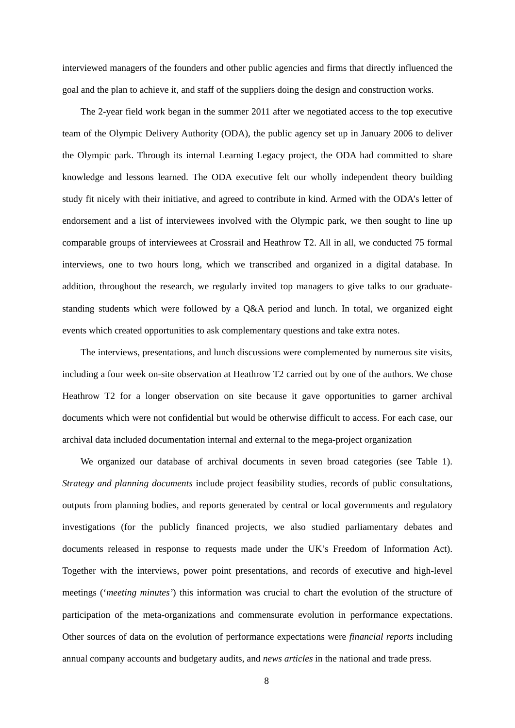interviewed managers of the founders and other public agencies and firms that directly influenced the goal and the plan to achieve it, and staff of the suppliers doing the design and construction works.

The 2-year field work began in the summer 2011 after we negotiated access to the top executive team of the Olympic Delivery Authority (ODA), the public agency set up in January 2006 to deliver the Olympic park. Through its internal Learning Legacy project, the ODA had committed to share knowledge and lessons learned. The ODA executive felt our wholly independent theory building study fit nicely with their initiative, and agreed to contribute in kind. Armed with the ODA's letter of endorsement and a list of interviewees involved with the Olympic park, we then sought to line up comparable groups of interviewees at Crossrail and Heathrow T2. All in all, we conducted 75 formal interviews, one to two hours long, which we transcribed and organized in a digital database. In addition, throughout the research, we regularly invited top managers to give talks to our graduatestanding students which were followed by a Q&A period and lunch. In total, we organized eight events which created opportunities to ask complementary questions and take extra notes.

The interviews, presentations, and lunch discussions were complemented by numerous site visits, including a four week on-site observation at Heathrow T2 carried out by one of the authors. We chose Heathrow T2 for a longer observation on site because it gave opportunities to garner archival documents which were not confidential but would be otherwise difficult to access. For each case, our archival data included documentation internal and external to the mega-project organization

We organized our database of archival documents in seven broad categories (see Table 1). *Strategy and planning documents* include project feasibility studies, records of public consultations, outputs from planning bodies, and reports generated by central or local governments and regulatory investigations (for the publicly financed projects, we also studied parliamentary debates and documents released in response to requests made under the UK's Freedom of Information Act). Together with the interviews, power point presentations, and records of executive and high-level meetings ('*meeting minutes'*) this information was crucial to chart the evolution of the structure of participation of the meta-organizations and commensurate evolution in performance expectations. Other sources of data on the evolution of performance expectations were *financial reports* including annual company accounts and budgetary audits, and *news articles* in the national and trade press.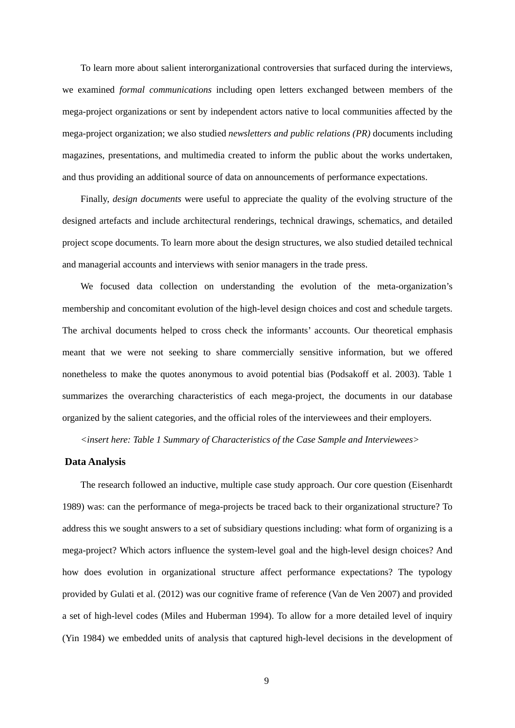To learn more about salient interorganizational controversies that surfaced during the interviews, we examined *formal communications* including open letters exchanged between members of the mega-project organizations or sent by independent actors native to local communities affected by the mega-project organization; we also studied *newsletters and public relations (PR)* documents including magazines, presentations, and multimedia created to inform the public about the works undertaken, and thus providing an additional source of data on announcements of performance expectations.

Finally, *design documents* were useful to appreciate the quality of the evolving structure of the designed artefacts and include architectural renderings, technical drawings, schematics, and detailed project scope documents. To learn more about the design structures, we also studied detailed technical and managerial accounts and interviews with senior managers in the trade press.

We focused data collection on understanding the evolution of the meta-organization's membership and concomitant evolution of the high-level design choices and cost and schedule targets. The archival documents helped to cross check the informants' accounts. Our theoretical emphasis meant that we were not seeking to share commercially sensitive information, but we offered nonetheless to make the quotes anonymous to avoid potential bias (Podsakoff et al. 2003). Table 1 summarizes the overarching characteristics of each mega-project, the documents in our database organized by the salient categories, and the official roles of the interviewees and their employers.

*<insert here: Table 1 Summary of Characteristics of the Case Sample and Interviewees>* 

#### **Data Analysis**

The research followed an inductive, multiple case study approach. Our core question (Eisenhardt 1989) was: can the performance of mega-projects be traced back to their organizational structure? To address this we sought answers to a set of subsidiary questions including: what form of organizing is a mega-project? Which actors influence the system-level goal and the high-level design choices? And how does evolution in organizational structure affect performance expectations? The typology provided by Gulati et al. (2012) was our cognitive frame of reference (Van de Ven 2007) and provided a set of high-level codes (Miles and Huberman 1994). To allow for a more detailed level of inquiry (Yin 1984) we embedded units of analysis that captured high-level decisions in the development of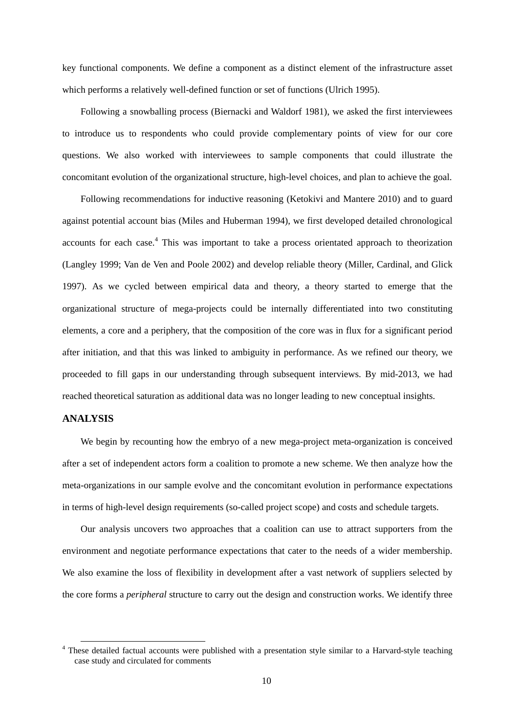key functional components. We define a component as a distinct element of the infrastructure asset which performs a relatively well-defined function or set of functions (Ulrich 1995).

Following a snowballing process (Biernacki and Waldorf 1981), we asked the first interviewees to introduce us to respondents who could provide complementary points of view for our core questions. We also worked with interviewees to sample components that could illustrate the concomitant evolution of the organizational structure, high-level choices, and plan to achieve the goal.

Following recommendations for inductive reasoning (Ketokivi and Mantere 2010) and to guard against potential account bias (Miles and Huberman 1994), we first developed detailed chronological accounts for each case.<sup>4</sup> This was important to take a process orientated approach to theorization (Langley 1999; Van de Ven and Poole 2002) and develop reliable theory (Miller, Cardinal, and Glick 1997). As we cycled between empirical data and theory, a theory started to emerge that the organizational structure of mega-projects could be internally differentiated into two constituting elements, a core and a periphery, that the composition of the core was in flux for a significant period after initiation, and that this was linked to ambiguity in performance. As we refined our theory, we proceeded to fill gaps in our understanding through subsequent interviews. By mid-2013, we had reached theoretical saturation as additional data was no longer leading to new conceptual insights.

# **ANALYSIS**

We begin by recounting how the embryo of a new mega-project meta-organization is conceived after a set of independent actors form a coalition to promote a new scheme. We then analyze how the meta-organizations in our sample evolve and the concomitant evolution in performance expectations in terms of high-level design requirements (so-called project scope) and costs and schedule targets.

Our analysis uncovers two approaches that a coalition can use to attract supporters from the environment and negotiate performance expectations that cater to the needs of a wider membership. We also examine the loss of flexibility in development after a vast network of suppliers selected by the core forms a *peripheral* structure to carry out the design and construction works. We identify three

<sup>&</sup>lt;sup>4</sup> These detailed factual accounts were published with a presentation style similar to a Harvard-style teaching case study and circulated for comments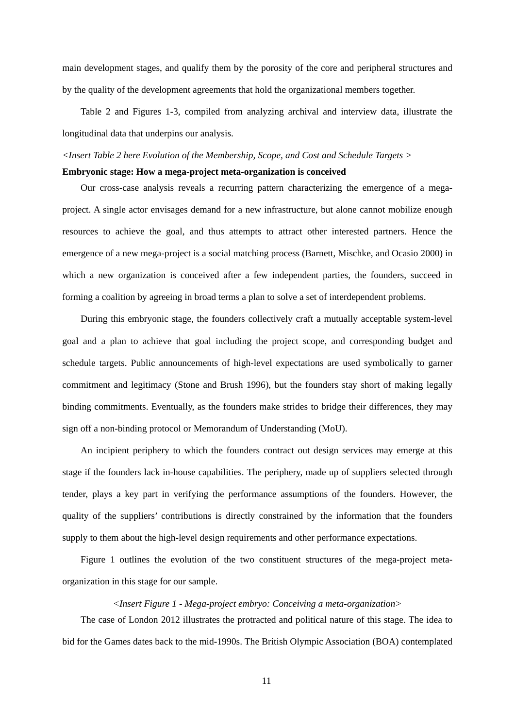main development stages, and qualify them by the porosity of the core and peripheral structures and by the quality of the development agreements that hold the organizational members together.

Table 2 and Figures 1-3, compiled from analyzing archival and interview data, illustrate the longitudinal data that underpins our analysis.

#### *<Insert Table 2 here Evolution of the Membership, Scope, and Cost and Schedule Targets >*

#### **Embryonic stage: How a mega-project meta-organization is conceived**

Our cross-case analysis reveals a recurring pattern characterizing the emergence of a megaproject. A single actor envisages demand for a new infrastructure, but alone cannot mobilize enough resources to achieve the goal, and thus attempts to attract other interested partners. Hence the emergence of a new mega-project is a social matching process (Barnett, Mischke, and Ocasio 2000) in which a new organization is conceived after a few independent parties, the founders, succeed in forming a coalition by agreeing in broad terms a plan to solve a set of interdependent problems.

During this embryonic stage, the founders collectively craft a mutually acceptable system-level goal and a plan to achieve that goal including the project scope, and corresponding budget and schedule targets. Public announcements of high-level expectations are used symbolically to garner commitment and legitimacy (Stone and Brush 1996), but the founders stay short of making legally binding commitments. Eventually, as the founders make strides to bridge their differences, they may sign off a non-binding protocol or Memorandum of Understanding (MoU).

An incipient periphery to which the founders contract out design services may emerge at this stage if the founders lack in-house capabilities. The periphery, made up of suppliers selected through tender, plays a key part in verifying the performance assumptions of the founders. However, the quality of the suppliers' contributions is directly constrained by the information that the founders supply to them about the high-level design requirements and other performance expectations.

Figure 1 outlines the evolution of the two constituent structures of the mega-project metaorganization in this stage for our sample.

#### *<Insert Figure 1 - Mega-project embryo: Conceiving a meta-organization>*

The case of London 2012 illustrates the protracted and political nature of this stage. The idea to bid for the Games dates back to the mid-1990s. The British Olympic Association (BOA) contemplated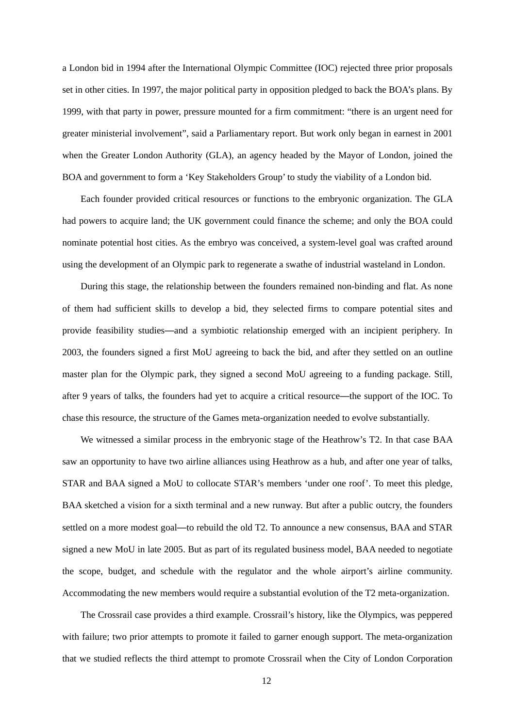a London bid in 1994 after the International Olympic Committee (IOC) rejected three prior proposals set in other cities. In 1997, the major political party in opposition pledged to back the BOA's plans. By 1999, with that party in power, pressure mounted for a firm commitment: "there is an urgent need for greater ministerial involvement", said a Parliamentary report. But work only began in earnest in 2001 when the Greater London Authority (GLA), an agency headed by the Mayor of London, joined the BOA and government to form a 'Key Stakeholders Group' to study the viability of a London bid.

Each founder provided critical resources or functions to the embryonic organization. The GLA had powers to acquire land; the UK government could finance the scheme; and only the BOA could nominate potential host cities. As the embryo was conceived, a system-level goal was crafted around using the development of an Olympic park to regenerate a swathe of industrial wasteland in London.

During this stage, the relationship between the founders remained non-binding and flat. As none of them had sufficient skills to develop a bid, they selected firms to compare potential sites and provide feasibility studies—and a symbiotic relationship emerged with an incipient periphery. In 2003, the founders signed a first MoU agreeing to back the bid, and after they settled on an outline master plan for the Olympic park, they signed a second MoU agreeing to a funding package. Still, after 9 years of talks, the founders had yet to acquire a critical resource—the support of the IOC. To chase this resource, the structure of the Games meta-organization needed to evolve substantially.

We witnessed a similar process in the embryonic stage of the Heathrow's T2. In that case BAA saw an opportunity to have two airline alliances using Heathrow as a hub, and after one year of talks, STAR and BAA signed a MoU to collocate STAR's members 'under one roof'. To meet this pledge, BAA sketched a vision for a sixth terminal and a new runway. But after a public outcry, the founders settled on a more modest goal—to rebuild the old T2. To announce a new consensus, BAA and STAR signed a new MoU in late 2005. But as part of its regulated business model, BAA needed to negotiate the scope, budget, and schedule with the regulator and the whole airport's airline community. Accommodating the new members would require a substantial evolution of the T2 meta-organization.

The Crossrail case provides a third example. Crossrail's history, like the Olympics, was peppered with failure; two prior attempts to promote it failed to garner enough support. The meta-organization that we studied reflects the third attempt to promote Crossrail when the City of London Corporation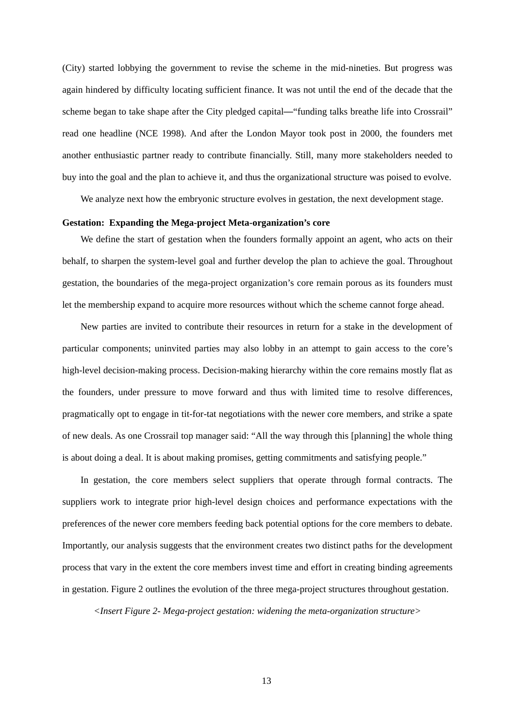(City) started lobbying the government to revise the scheme in the mid-nineties. But progress was again hindered by difficulty locating sufficient finance. It was not until the end of the decade that the scheme began to take shape after the City pledged capital—"funding talks breathe life into Crossrail" read one headline (NCE 1998). And after the London Mayor took post in 2000, the founders met another enthusiastic partner ready to contribute financially. Still, many more stakeholders needed to buy into the goal and the plan to achieve it, and thus the organizational structure was poised to evolve.

We analyze next how the embryonic structure evolves in gestation, the next development stage.

### **Gestation: Expanding the Mega-project Meta-organization's core**

We define the start of gestation when the founders formally appoint an agent, who acts on their behalf, to sharpen the system-level goal and further develop the plan to achieve the goal. Throughout gestation, the boundaries of the mega-project organization's core remain porous as its founders must let the membership expand to acquire more resources without which the scheme cannot forge ahead.

New parties are invited to contribute their resources in return for a stake in the development of particular components; uninvited parties may also lobby in an attempt to gain access to the core's high-level decision-making process. Decision-making hierarchy within the core remains mostly flat as the founders, under pressure to move forward and thus with limited time to resolve differences, pragmatically opt to engage in tit-for-tat negotiations with the newer core members, and strike a spate of new deals. As one Crossrail top manager said: "All the way through this [planning] the whole thing is about doing a deal. It is about making promises, getting commitments and satisfying people."

In gestation, the core members select suppliers that operate through formal contracts. The suppliers work to integrate prior high-level design choices and performance expectations with the preferences of the newer core members feeding back potential options for the core members to debate. Importantly, our analysis suggests that the environment creates two distinct paths for the development process that vary in the extent the core members invest time and effort in creating binding agreements in gestation. Figure 2 outlines the evolution of the three mega-project structures throughout gestation.

*<Insert Figure 2- Mega-project gestation: widening the meta-organization structure>*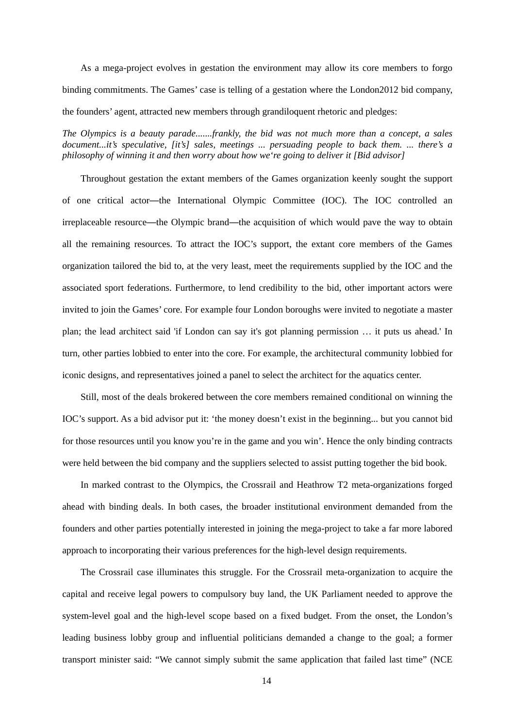As a mega-project evolves in gestation the environment may allow its core members to forgo binding commitments. The Games' case is telling of a gestation where the London2012 bid company, the founders' agent, attracted new members through grandiloquent rhetoric and pledges:

*The Olympics is a beauty parade.......frankly, the bid was not much more than a concept, a sales document...it's speculative, [it's] sales, meetings ... persuading people to back them. ... there's a philosophy of winning it and then worry about how we're going to deliver it [Bid advisor]* 

Throughout gestation the extant members of the Games organization keenly sought the support of one critical actor—the International Olympic Committee (IOC). The IOC controlled an irreplaceable resource—the Olympic brand—the acquisition of which would pave the way to obtain all the remaining resources. To attract the IOC's support, the extant core members of the Games organization tailored the bid to, at the very least, meet the requirements supplied by the IOC and the associated sport federations. Furthermore, to lend credibility to the bid, other important actors were invited to join the Games' core. For example four London boroughs were invited to negotiate a master plan; the lead architect said 'if London can say it's got planning permission … it puts us ahead.' In turn, other parties lobbied to enter into the core. For example, the architectural community lobbied for iconic designs, and representatives joined a panel to select the architect for the aquatics center.

Still, most of the deals brokered between the core members remained conditional on winning the IOC's support. As a bid advisor put it: 'the money doesn't exist in the beginning... but you cannot bid for those resources until you know you're in the game and you win'. Hence the only binding contracts were held between the bid company and the suppliers selected to assist putting together the bid book.

In marked contrast to the Olympics, the Crossrail and Heathrow T2 meta-organizations forged ahead with binding deals. In both cases, the broader institutional environment demanded from the founders and other parties potentially interested in joining the mega-project to take a far more labored approach to incorporating their various preferences for the high-level design requirements.

The Crossrail case illuminates this struggle. For the Crossrail meta-organization to acquire the capital and receive legal powers to compulsory buy land, the UK Parliament needed to approve the system-level goal and the high-level scope based on a fixed budget. From the onset, the London's leading business lobby group and influential politicians demanded a change to the goal; a former transport minister said: "We cannot simply submit the same application that failed last time" (NCE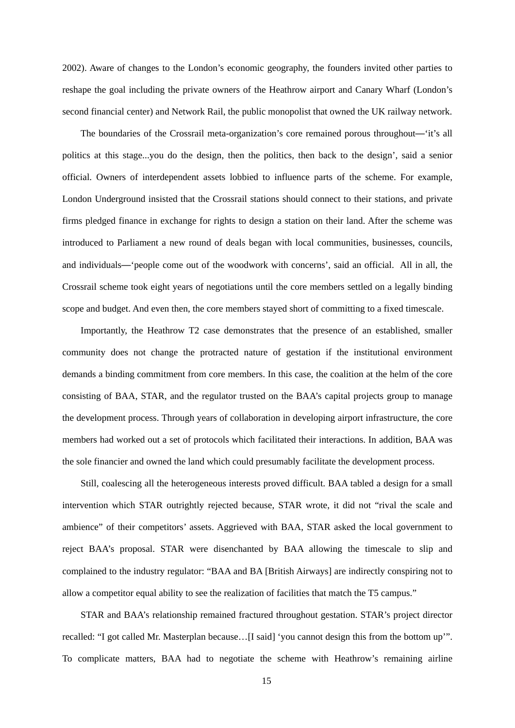2002). Aware of changes to the London's economic geography, the founders invited other parties to reshape the goal including the private owners of the Heathrow airport and Canary Wharf (London's second financial center) and Network Rail, the public monopolist that owned the UK railway network.

The boundaries of the Crossrail meta-organization's core remained porous throughout—'it's all politics at this stage...you do the design, then the politics, then back to the design', said a senior official. Owners of interdependent assets lobbied to influence parts of the scheme. For example, London Underground insisted that the Crossrail stations should connect to their stations, and private firms pledged finance in exchange for rights to design a station on their land. After the scheme was introduced to Parliament a new round of deals began with local communities, businesses, councils, and individuals—'people come out of the woodwork with concerns', said an official. All in all, the Crossrail scheme took eight years of negotiations until the core members settled on a legally binding scope and budget. And even then, the core members stayed short of committing to a fixed timescale.

Importantly, the Heathrow T2 case demonstrates that the presence of an established, smaller community does not change the protracted nature of gestation if the institutional environment demands a binding commitment from core members. In this case, the coalition at the helm of the core consisting of BAA, STAR, and the regulator trusted on the BAA's capital projects group to manage the development process. Through years of collaboration in developing airport infrastructure, the core members had worked out a set of protocols which facilitated their interactions. In addition, BAA was the sole financier and owned the land which could presumably facilitate the development process.

Still, coalescing all the heterogeneous interests proved difficult. BAA tabled a design for a small intervention which STAR outrightly rejected because, STAR wrote, it did not "rival the scale and ambience" of their competitors' assets. Aggrieved with BAA, STAR asked the local government to reject BAA's proposal. STAR were disenchanted by BAA allowing the timescale to slip and complained to the industry regulator: "BAA and BA [British Airways] are indirectly conspiring not to allow a competitor equal ability to see the realization of facilities that match the T5 campus."

STAR and BAA's relationship remained fractured throughout gestation. STAR's project director recalled: "I got called Mr. Masterplan because…[I said] 'you cannot design this from the bottom up'". To complicate matters, BAA had to negotiate the scheme with Heathrow's remaining airline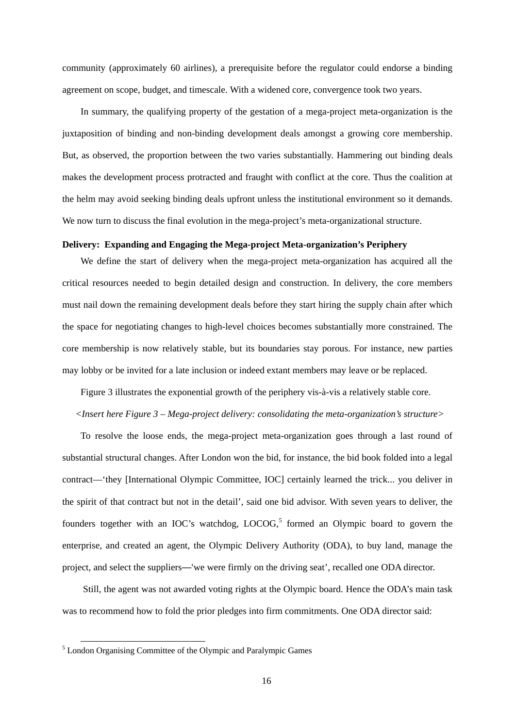community (approximately 60 airlines), a prerequisite before the regulator could endorse a binding agreement on scope, budget, and timescale. With a widened core, convergence took two years.

In summary, the qualifying property of the gestation of a mega-project meta-organization is the juxtaposition of binding and non-binding development deals amongst a growing core membership. But, as observed, the proportion between the two varies substantially. Hammering out binding deals makes the development process protracted and fraught with conflict at the core. Thus the coalition at the helm may avoid seeking binding deals upfront unless the institutional environment so it demands. We now turn to discuss the final evolution in the mega-project's meta-organizational structure.

#### **Delivery: Expanding and Engaging the Mega-project Meta-organization's Periphery**

We define the start of delivery when the mega-project meta-organization has acquired all the critical resources needed to begin detailed design and construction. In delivery, the core members must nail down the remaining development deals before they start hiring the supply chain after which the space for negotiating changes to high-level choices becomes substantially more constrained. The core membership is now relatively stable, but its boundaries stay porous. For instance, new parties may lobby or be invited for a late inclusion or indeed extant members may leave or be replaced.

Figure 3 illustrates the exponential growth of the periphery vis-à-vis a relatively stable core.

## *<Insert here Figure 3 – Mega-project delivery: consolidating the meta-organization's structure>*

To resolve the loose ends, the mega-project meta-organization goes through a last round of substantial structural changes. After London won the bid, for instance, the bid book folded into a legal contract—'they [International Olympic Committee, IOC] certainly learned the trick... you deliver in the spirit of that contract but not in the detail', said one bid advisor. With seven years to deliver, the founders together with an IOC's watchdog,  $LOCOG<sub>2</sub><sup>5</sup>$  formed an Olympic board to govern the enterprise, and created an agent, the Olympic Delivery Authority (ODA), to buy land, manage the project, and select the suppliers—'we were firmly on the driving seat', recalled one ODA director.

 Still, the agent was not awarded voting rights at the Olympic board. Hence the ODA's main task was to recommend how to fold the prior pledges into firm commitments. One ODA director said:

 <sup>5</sup> London Organising Committee of the Olympic and Paralympic Games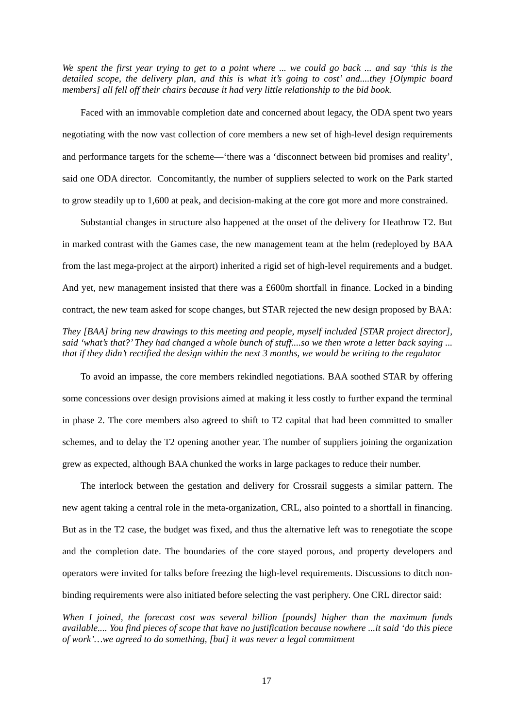*We spent the first year trying to get to a point where ... we could go back ... and say 'this is the detailed scope, the delivery plan, and this is what it's going to cost' and....they [Olympic board members] all fell off their chairs because it had very little relationship to the bid book.* 

Faced with an immovable completion date and concerned about legacy, the ODA spent two years negotiating with the now vast collection of core members a new set of high-level design requirements and performance targets for the scheme—'there was a 'disconnect between bid promises and reality', said one ODA director. Concomitantly, the number of suppliers selected to work on the Park started to grow steadily up to 1,600 at peak, and decision-making at the core got more and more constrained.

Substantial changes in structure also happened at the onset of the delivery for Heathrow T2. But in marked contrast with the Games case, the new management team at the helm (redeployed by BAA from the last mega-project at the airport) inherited a rigid set of high-level requirements and a budget. And yet, new management insisted that there was a £600m shortfall in finance. Locked in a binding contract, the new team asked for scope changes, but STAR rejected the new design proposed by BAA: *They [BAA] bring new drawings to this meeting and people, myself included [STAR project director], said 'what's that?' They had changed a whole bunch of stuff....so we then wrote a letter back saying ... that if they didn't rectified the design within the next 3 months, we would be writing to the regulator* 

To avoid an impasse, the core members rekindled negotiations. BAA soothed STAR by offering some concessions over design provisions aimed at making it less costly to further expand the terminal in phase 2. The core members also agreed to shift to T2 capital that had been committed to smaller schemes, and to delay the T2 opening another year. The number of suppliers joining the organization grew as expected, although BAA chunked the works in large packages to reduce their number.

The interlock between the gestation and delivery for Crossrail suggests a similar pattern. The new agent taking a central role in the meta-organization, CRL, also pointed to a shortfall in financing. But as in the T2 case, the budget was fixed, and thus the alternative left was to renegotiate the scope and the completion date. The boundaries of the core stayed porous, and property developers and operators were invited for talks before freezing the high-level requirements. Discussions to ditch nonbinding requirements were also initiated before selecting the vast periphery. One CRL director said:

*When I joined, the forecast cost was several billion [pounds] higher than the maximum funds available.... You find pieces of scope that have no justification because nowhere ...it said 'do this piece of work'…we agreed to do something, [but] it was never a legal commitment*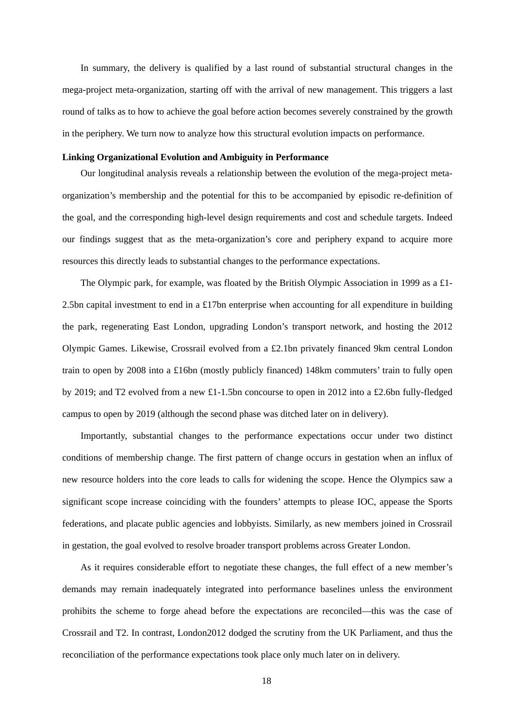In summary, the delivery is qualified by a last round of substantial structural changes in the mega-project meta-organization, starting off with the arrival of new management. This triggers a last round of talks as to how to achieve the goal before action becomes severely constrained by the growth in the periphery. We turn now to analyze how this structural evolution impacts on performance.

#### **Linking Organizational Evolution and Ambiguity in Performance**

Our longitudinal analysis reveals a relationship between the evolution of the mega-project metaorganization's membership and the potential for this to be accompanied by episodic re-definition of the goal, and the corresponding high-level design requirements and cost and schedule targets. Indeed our findings suggest that as the meta-organization's core and periphery expand to acquire more resources this directly leads to substantial changes to the performance expectations.

The Olympic park, for example, was floated by the British Olympic Association in 1999 as a £1-2.5bn capital investment to end in a £17bn enterprise when accounting for all expenditure in building the park, regenerating East London, upgrading London's transport network, and hosting the 2012 Olympic Games. Likewise, Crossrail evolved from a £2.1bn privately financed 9km central London train to open by 2008 into a £16bn (mostly publicly financed) 148km commuters' train to fully open by 2019; and T2 evolved from a new £1-1.5bn concourse to open in 2012 into a £2.6bn fully-fledged campus to open by 2019 (although the second phase was ditched later on in delivery).

Importantly, substantial changes to the performance expectations occur under two distinct conditions of membership change. The first pattern of change occurs in gestation when an influx of new resource holders into the core leads to calls for widening the scope. Hence the Olympics saw a significant scope increase coinciding with the founders' attempts to please IOC, appease the Sports federations, and placate public agencies and lobbyists. Similarly, as new members joined in Crossrail in gestation, the goal evolved to resolve broader transport problems across Greater London.

As it requires considerable effort to negotiate these changes, the full effect of a new member's demands may remain inadequately integrated into performance baselines unless the environment prohibits the scheme to forge ahead before the expectations are reconciled—this was the case of Crossrail and T2. In contrast, London2012 dodged the scrutiny from the UK Parliament, and thus the reconciliation of the performance expectations took place only much later on in delivery.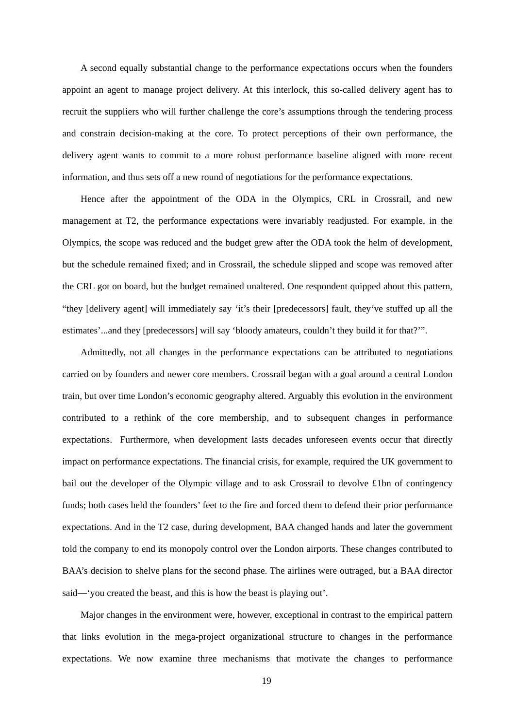A second equally substantial change to the performance expectations occurs when the founders appoint an agent to manage project delivery. At this interlock, this so-called delivery agent has to recruit the suppliers who will further challenge the core's assumptions through the tendering process and constrain decision-making at the core. To protect perceptions of their own performance, the delivery agent wants to commit to a more robust performance baseline aligned with more recent information, and thus sets off a new round of negotiations for the performance expectations.

Hence after the appointment of the ODA in the Olympics, CRL in Crossrail, and new management at T2, the performance expectations were invariably readjusted. For example, in the Olympics, the scope was reduced and the budget grew after the ODA took the helm of development, but the schedule remained fixed; and in Crossrail, the schedule slipped and scope was removed after the CRL got on board, but the budget remained unaltered. One respondent quipped about this pattern, "they [delivery agent] will immediately say 'it's their [predecessors] fault, they've stuffed up all the estimates'...and they [predecessors] will say 'bloody amateurs, couldn't they build it for that?'".

Admittedly, not all changes in the performance expectations can be attributed to negotiations carried on by founders and newer core members. Crossrail began with a goal around a central London train, but over time London's economic geography altered. Arguably this evolution in the environment contributed to a rethink of the core membership, and to subsequent changes in performance expectations. Furthermore, when development lasts decades unforeseen events occur that directly impact on performance expectations. The financial crisis, for example, required the UK government to bail out the developer of the Olympic village and to ask Crossrail to devolve £1bn of contingency funds; both cases held the founders' feet to the fire and forced them to defend their prior performance expectations. And in the T2 case, during development, BAA changed hands and later the government told the company to end its monopoly control over the London airports. These changes contributed to BAA's decision to shelve plans for the second phase. The airlines were outraged, but a BAA director said—'you created the beast, and this is how the beast is playing out'.

Major changes in the environment were, however, exceptional in contrast to the empirical pattern that links evolution in the mega-project organizational structure to changes in the performance expectations. We now examine three mechanisms that motivate the changes to performance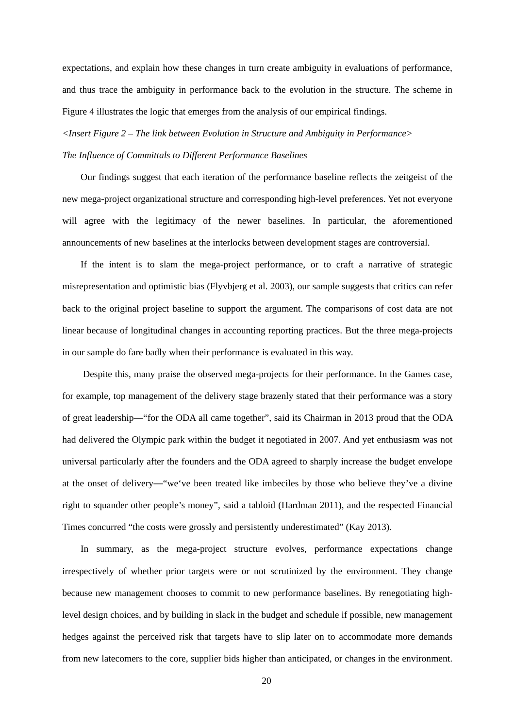expectations, and explain how these changes in turn create ambiguity in evaluations of performance, and thus trace the ambiguity in performance back to the evolution in the structure. The scheme in Figure 4 illustrates the logic that emerges from the analysis of our empirical findings.

*<Insert Figure 2 – The link between Evolution in Structure and Ambiguity in Performance> The Influence of Committals to Different Performance Baselines* 

Our findings suggest that each iteration of the performance baseline reflects the zeitgeist of the new mega-project organizational structure and corresponding high-level preferences. Yet not everyone will agree with the legitimacy of the newer baselines. In particular, the aforementioned announcements of new baselines at the interlocks between development stages are controversial.

If the intent is to slam the mega-project performance, or to craft a narrative of strategic misrepresentation and optimistic bias (Flyvbjerg et al. 2003), our sample suggests that critics can refer back to the original project baseline to support the argument. The comparisons of cost data are not linear because of longitudinal changes in accounting reporting practices. But the three mega-projects in our sample do fare badly when their performance is evaluated in this way.

 Despite this, many praise the observed mega-projects for their performance. In the Games case, for example, top management of the delivery stage brazenly stated that their performance was a story of great leadership—"for the ODA all came together", said its Chairman in 2013 proud that the ODA had delivered the Olympic park within the budget it negotiated in 2007. And yet enthusiasm was not universal particularly after the founders and the ODA agreed to sharply increase the budget envelope at the onset of delivery—"we've been treated like imbeciles by those who believe they've a divine right to squander other people's money", said a tabloid (Hardman 2011), and the respected Financial Times concurred "the costs were grossly and persistently underestimated" (Kay 2013).

In summary, as the mega-project structure evolves, performance expectations change irrespectively of whether prior targets were or not scrutinized by the environment. They change because new management chooses to commit to new performance baselines. By renegotiating highlevel design choices, and by building in slack in the budget and schedule if possible, new management hedges against the perceived risk that targets have to slip later on to accommodate more demands from new latecomers to the core, supplier bids higher than anticipated, or changes in the environment.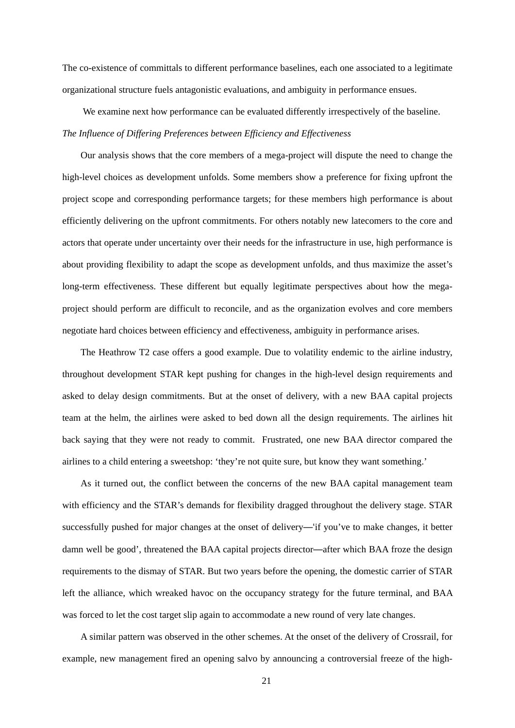The co-existence of committals to different performance baselines, each one associated to a legitimate organizational structure fuels antagonistic evaluations, and ambiguity in performance ensues.

 We examine next how performance can be evaluated differently irrespectively of the baseline. *The Influence of Differing Preferences between Efficiency and Effectiveness* 

Our analysis shows that the core members of a mega-project will dispute the need to change the high-level choices as development unfolds. Some members show a preference for fixing upfront the project scope and corresponding performance targets; for these members high performance is about efficiently delivering on the upfront commitments. For others notably new latecomers to the core and actors that operate under uncertainty over their needs for the infrastructure in use, high performance is about providing flexibility to adapt the scope as development unfolds, and thus maximize the asset's long-term effectiveness. These different but equally legitimate perspectives about how the megaproject should perform are difficult to reconcile, and as the organization evolves and core members negotiate hard choices between efficiency and effectiveness, ambiguity in performance arises.

The Heathrow T2 case offers a good example. Due to volatility endemic to the airline industry, throughout development STAR kept pushing for changes in the high-level design requirements and asked to delay design commitments. But at the onset of delivery, with a new BAA capital projects team at the helm, the airlines were asked to bed down all the design requirements. The airlines hit back saying that they were not ready to commit. Frustrated, one new BAA director compared the airlines to a child entering a sweetshop: 'they're not quite sure, but know they want something.'

As it turned out, the conflict between the concerns of the new BAA capital management team with efficiency and the STAR's demands for flexibility dragged throughout the delivery stage. STAR successfully pushed for major changes at the onset of delivery—'if you've to make changes, it better damn well be good', threatened the BAA capital projects director—after which BAA froze the design requirements to the dismay of STAR. But two years before the opening, the domestic carrier of STAR left the alliance, which wreaked havoc on the occupancy strategy for the future terminal, and BAA was forced to let the cost target slip again to accommodate a new round of very late changes.

A similar pattern was observed in the other schemes. At the onset of the delivery of Crossrail, for example, new management fired an opening salvo by announcing a controversial freeze of the high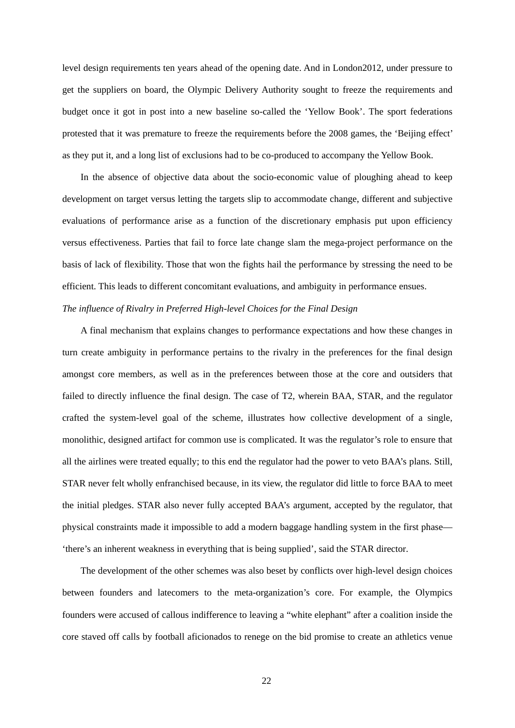level design requirements ten years ahead of the opening date. And in London2012, under pressure to get the suppliers on board, the Olympic Delivery Authority sought to freeze the requirements and budget once it got in post into a new baseline so-called the 'Yellow Book'. The sport federations protested that it was premature to freeze the requirements before the 2008 games, the 'Beijing effect' as they put it, and a long list of exclusions had to be co-produced to accompany the Yellow Book.

In the absence of objective data about the socio-economic value of ploughing ahead to keep development on target versus letting the targets slip to accommodate change, different and subjective evaluations of performance arise as a function of the discretionary emphasis put upon efficiency versus effectiveness. Parties that fail to force late change slam the mega-project performance on the basis of lack of flexibility. Those that won the fights hail the performance by stressing the need to be efficient. This leads to different concomitant evaluations, and ambiguity in performance ensues.

# *The influence of Rivalry in Preferred High-level Choices for the Final Design*

A final mechanism that explains changes to performance expectations and how these changes in turn create ambiguity in performance pertains to the rivalry in the preferences for the final design amongst core members, as well as in the preferences between those at the core and outsiders that failed to directly influence the final design. The case of T2, wherein BAA, STAR, and the regulator crafted the system-level goal of the scheme, illustrates how collective development of a single, monolithic, designed artifact for common use is complicated. It was the regulator's role to ensure that all the airlines were treated equally; to this end the regulator had the power to veto BAA's plans. Still, STAR never felt wholly enfranchised because, in its view, the regulator did little to force BAA to meet the initial pledges. STAR also never fully accepted BAA's argument, accepted by the regulator, that physical constraints made it impossible to add a modern baggage handling system in the first phase— 'there's an inherent weakness in everything that is being supplied', said the STAR director.

The development of the other schemes was also beset by conflicts over high-level design choices between founders and latecomers to the meta-organization's core. For example, the Olympics founders were accused of callous indifference to leaving a "white elephant" after a coalition inside the core staved off calls by football aficionados to renege on the bid promise to create an athletics venue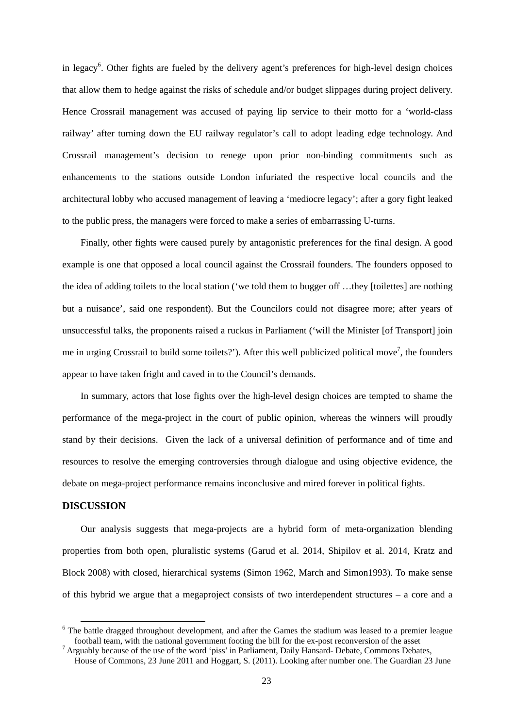in legacy<sup>6</sup>. Other fights are fueled by the delivery agent's preferences for high-level design choices that allow them to hedge against the risks of schedule and/or budget slippages during project delivery. Hence Crossrail management was accused of paying lip service to their motto for a 'world-class railway' after turning down the EU railway regulator's call to adopt leading edge technology. And Crossrail management's decision to renege upon prior non-binding commitments such as enhancements to the stations outside London infuriated the respective local councils and the architectural lobby who accused management of leaving a 'mediocre legacy'; after a gory fight leaked to the public press, the managers were forced to make a series of embarrassing U-turns.

Finally, other fights were caused purely by antagonistic preferences for the final design. A good example is one that opposed a local council against the Crossrail founders. The founders opposed to the idea of adding toilets to the local station ('we told them to bugger off …they [toilettes] are nothing but a nuisance', said one respondent). But the Councilors could not disagree more; after years of unsuccessful talks, the proponents raised a ruckus in Parliament ('will the Minister [of Transport] join me in urging Crossrail to build some toilets?'). After this well publicized political move<sup>7</sup>, the founders appear to have taken fright and caved in to the Council's demands.

In summary, actors that lose fights over the high-level design choices are tempted to shame the performance of the mega-project in the court of public opinion, whereas the winners will proudly stand by their decisions. Given the lack of a universal definition of performance and of time and resources to resolve the emerging controversies through dialogue and using objective evidence, the debate on mega-project performance remains inconclusive and mired forever in political fights.

# **DISCUSSION**

Our analysis suggests that mega-projects are a hybrid form of meta-organization blending properties from both open, pluralistic systems (Garud et al. 2014, Shipilov et al. 2014, Kratz and Block 2008) with closed, hierarchical systems (Simon 1962, March and Simon1993). To make sense of this hybrid we argue that a megaproject consists of two interdependent structures – a core and a

<sup>&</sup>lt;sup>6</sup> The battle dragged throughout development, and after the Games the stadium was leased to a premier league football team, with the national government footing the bill for the ex-post reconversion of the asset

<sup>&</sup>lt;sup>7</sup> Arguably because of the use of the word 'piss' in Parliament, Daily Hansard- Debate, Commons Debates, House of Commons, 23 June 2011 and Hoggart, S. (2011). Looking after number one. The Guardian 23 June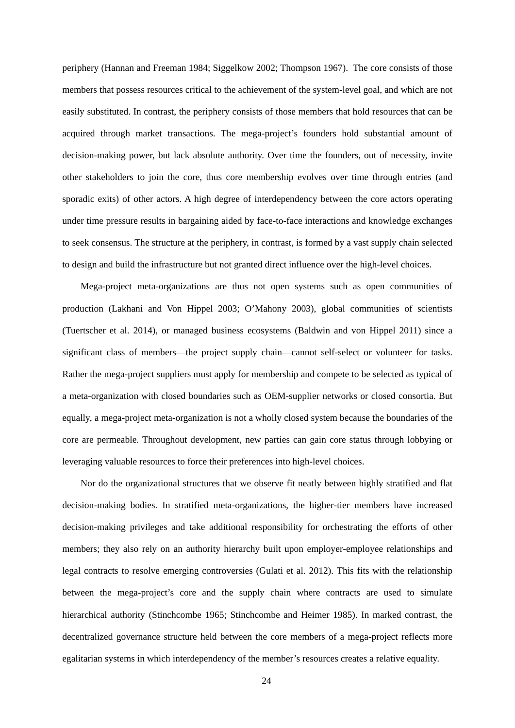periphery (Hannan and Freeman 1984; Siggelkow 2002; Thompson 1967). The core consists of those members that possess resources critical to the achievement of the system-level goal, and which are not easily substituted. In contrast, the periphery consists of those members that hold resources that can be acquired through market transactions. The mega-project's founders hold substantial amount of decision-making power, but lack absolute authority. Over time the founders, out of necessity, invite other stakeholders to join the core, thus core membership evolves over time through entries (and sporadic exits) of other actors. A high degree of interdependency between the core actors operating under time pressure results in bargaining aided by face-to-face interactions and knowledge exchanges to seek consensus. The structure at the periphery, in contrast, is formed by a vast supply chain selected to design and build the infrastructure but not granted direct influence over the high-level choices.

Mega-project meta-organizations are thus not open systems such as open communities of production (Lakhani and Von Hippel 2003; O'Mahony 2003), global communities of scientists (Tuertscher et al. 2014), or managed business ecosystems (Baldwin and von Hippel 2011) since a significant class of members—the project supply chain—cannot self-select or volunteer for tasks. Rather the mega-project suppliers must apply for membership and compete to be selected as typical of a meta-organization with closed boundaries such as OEM-supplier networks or closed consortia. But equally, a mega-project meta-organization is not a wholly closed system because the boundaries of the core are permeable. Throughout development, new parties can gain core status through lobbying or leveraging valuable resources to force their preferences into high-level choices.

Nor do the organizational structures that we observe fit neatly between highly stratified and flat decision-making bodies. In stratified meta-organizations, the higher-tier members have increased decision-making privileges and take additional responsibility for orchestrating the efforts of other members; they also rely on an authority hierarchy built upon employer-employee relationships and legal contracts to resolve emerging controversies (Gulati et al. 2012). This fits with the relationship between the mega-project's core and the supply chain where contracts are used to simulate hierarchical authority (Stinchcombe 1965; Stinchcombe and Heimer 1985). In marked contrast, the decentralized governance structure held between the core members of a mega-project reflects more egalitarian systems in which interdependency of the member's resources creates a relative equality.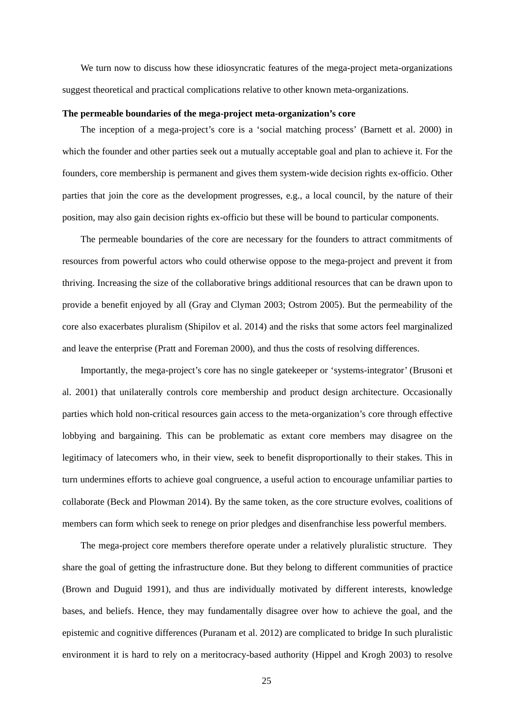We turn now to discuss how these idiosyncratic features of the mega-project meta-organizations suggest theoretical and practical complications relative to other known meta-organizations.

#### **The permeable boundaries of the mega-project meta-organization's core**

The inception of a mega-project's core is a 'social matching process' (Barnett et al. 2000) in which the founder and other parties seek out a mutually acceptable goal and plan to achieve it. For the founders, core membership is permanent and gives them system-wide decision rights ex-officio. Other parties that join the core as the development progresses, e.g., a local council, by the nature of their position, may also gain decision rights ex-officio but these will be bound to particular components.

The permeable boundaries of the core are necessary for the founders to attract commitments of resources from powerful actors who could otherwise oppose to the mega-project and prevent it from thriving. Increasing the size of the collaborative brings additional resources that can be drawn upon to provide a benefit enjoyed by all (Gray and Clyman 2003; Ostrom 2005). But the permeability of the core also exacerbates pluralism (Shipilov et al. 2014) and the risks that some actors feel marginalized and leave the enterprise (Pratt and Foreman 2000), and thus the costs of resolving differences.

Importantly, the mega-project's core has no single gatekeeper or 'systems-integrator' (Brusoni et al. 2001) that unilaterally controls core membership and product design architecture. Occasionally parties which hold non-critical resources gain access to the meta-organization's core through effective lobbying and bargaining. This can be problematic as extant core members may disagree on the legitimacy of latecomers who, in their view, seek to benefit disproportionally to their stakes. This in turn undermines efforts to achieve goal congruence, a useful action to encourage unfamiliar parties to collaborate (Beck and Plowman 2014). By the same token, as the core structure evolves, coalitions of members can form which seek to renege on prior pledges and disenfranchise less powerful members.

The mega-project core members therefore operate under a relatively pluralistic structure. They share the goal of getting the infrastructure done. But they belong to different communities of practice (Brown and Duguid 1991), and thus are individually motivated by different interests, knowledge bases, and beliefs. Hence, they may fundamentally disagree over how to achieve the goal, and the epistemic and cognitive differences (Puranam et al. 2012) are complicated to bridge In such pluralistic environment it is hard to rely on a meritocracy-based authority (Hippel and Krogh 2003) to resolve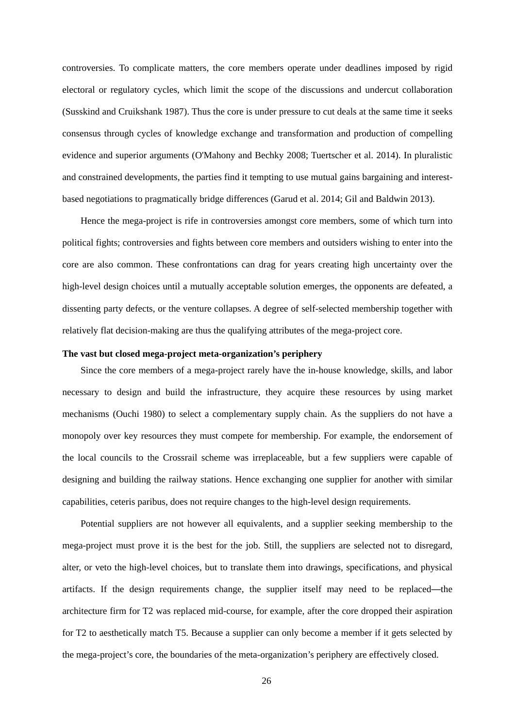controversies. To complicate matters, the core members operate under deadlines imposed by rigid electoral or regulatory cycles, which limit the scope of the discussions and undercut collaboration (Susskind and Cruikshank 1987). Thus the core is under pressure to cut deals at the same time it seeks consensus through cycles of knowledge exchange and transformation and production of compelling evidence and superior arguments (O'Mahony and Bechky 2008; Tuertscher et al. 2014). In pluralistic and constrained developments, the parties find it tempting to use mutual gains bargaining and interestbased negotiations to pragmatically bridge differences (Garud et al. 2014; Gil and Baldwin 2013).

Hence the mega-project is rife in controversies amongst core members, some of which turn into political fights; controversies and fights between core members and outsiders wishing to enter into the core are also common. These confrontations can drag for years creating high uncertainty over the high-level design choices until a mutually acceptable solution emerges, the opponents are defeated, a dissenting party defects, or the venture collapses. A degree of self-selected membership together with relatively flat decision-making are thus the qualifying attributes of the mega-project core.

#### **The vast but closed mega-project meta-organization's periphery**

Since the core members of a mega-project rarely have the in-house knowledge, skills, and labor necessary to design and build the infrastructure, they acquire these resources by using market mechanisms (Ouchi 1980) to select a complementary supply chain. As the suppliers do not have a monopoly over key resources they must compete for membership. For example, the endorsement of the local councils to the Crossrail scheme was irreplaceable, but a few suppliers were capable of designing and building the railway stations. Hence exchanging one supplier for another with similar capabilities, ceteris paribus, does not require changes to the high-level design requirements.

Potential suppliers are not however all equivalents, and a supplier seeking membership to the mega-project must prove it is the best for the job. Still, the suppliers are selected not to disregard, alter, or veto the high-level choices, but to translate them into drawings, specifications, and physical artifacts. If the design requirements change, the supplier itself may need to be replaced—the architecture firm for T2 was replaced mid-course, for example, after the core dropped their aspiration for T2 to aesthetically match T5. Because a supplier can only become a member if it gets selected by the mega-project's core, the boundaries of the meta-organization's periphery are effectively closed.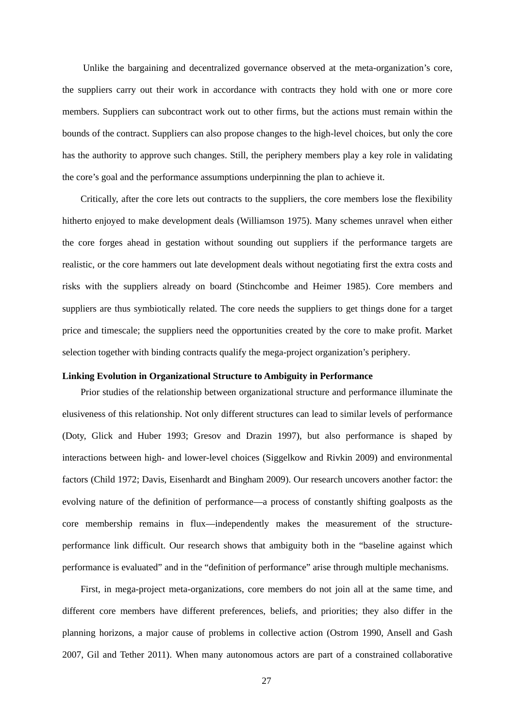Unlike the bargaining and decentralized governance observed at the meta-organization's core, the suppliers carry out their work in accordance with contracts they hold with one or more core members. Suppliers can subcontract work out to other firms, but the actions must remain within the bounds of the contract. Suppliers can also propose changes to the high-level choices, but only the core has the authority to approve such changes. Still, the periphery members play a key role in validating the core's goal and the performance assumptions underpinning the plan to achieve it.

Critically, after the core lets out contracts to the suppliers, the core members lose the flexibility hitherto enjoyed to make development deals (Williamson 1975). Many schemes unravel when either the core forges ahead in gestation without sounding out suppliers if the performance targets are realistic, or the core hammers out late development deals without negotiating first the extra costs and risks with the suppliers already on board (Stinchcombe and Heimer 1985). Core members and suppliers are thus symbiotically related. The core needs the suppliers to get things done for a target price and timescale; the suppliers need the opportunities created by the core to make profit. Market selection together with binding contracts qualify the mega-project organization's periphery.

#### **Linking Evolution in Organizational Structure to Ambiguity in Performance**

Prior studies of the relationship between organizational structure and performance illuminate the elusiveness of this relationship. Not only different structures can lead to similar levels of performance (Doty, Glick and Huber 1993; Gresov and Drazin 1997), but also performance is shaped by interactions between high- and lower-level choices (Siggelkow and Rivkin 2009) and environmental factors (Child 1972; Davis, Eisenhardt and Bingham 2009). Our research uncovers another factor: the evolving nature of the definition of performance—a process of constantly shifting goalposts as the core membership remains in flux—independently makes the measurement of the structureperformance link difficult. Our research shows that ambiguity both in the "baseline against which performance is evaluated" and in the "definition of performance" arise through multiple mechanisms.

First, in mega-project meta-organizations, core members do not join all at the same time, and different core members have different preferences, beliefs, and priorities; they also differ in the planning horizons, a major cause of problems in collective action (Ostrom 1990, Ansell and Gash 2007, Gil and Tether 2011). When many autonomous actors are part of a constrained collaborative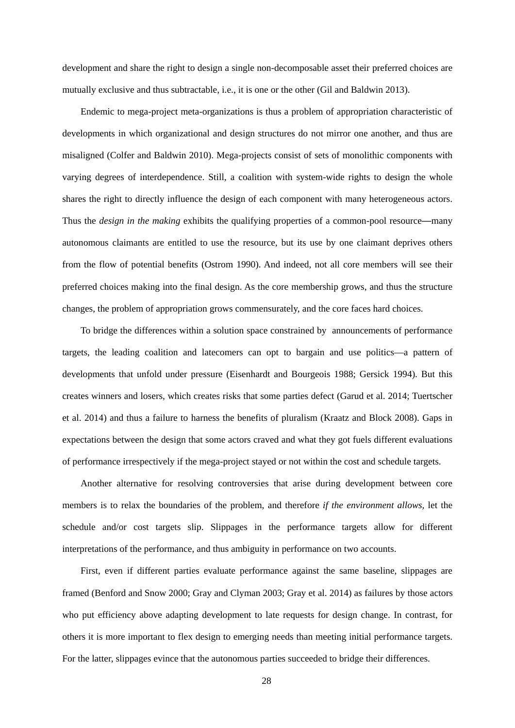development and share the right to design a single non-decomposable asset their preferred choices are mutually exclusive and thus subtractable, i.e., it is one or the other (Gil and Baldwin 2013).

Endemic to mega-project meta-organizations is thus a problem of appropriation characteristic of developments in which organizational and design structures do not mirror one another, and thus are misaligned (Colfer and Baldwin 2010). Mega-projects consist of sets of monolithic components with varying degrees of interdependence. Still, a coalition with system-wide rights to design the whole shares the right to directly influence the design of each component with many heterogeneous actors. Thus the *design in the making* exhibits the qualifying properties of a common-pool resource—many autonomous claimants are entitled to use the resource, but its use by one claimant deprives others from the flow of potential benefits (Ostrom 1990). And indeed, not all core members will see their preferred choices making into the final design. As the core membership grows, and thus the structure changes, the problem of appropriation grows commensurately, and the core faces hard choices.

To bridge the differences within a solution space constrained by announcements of performance targets, the leading coalition and latecomers can opt to bargain and use politics—a pattern of developments that unfold under pressure (Eisenhardt and Bourgeois 1988; Gersick 1994). But this creates winners and losers, which creates risks that some parties defect (Garud et al. 2014; Tuertscher et al. 2014) and thus a failure to harness the benefits of pluralism (Kraatz and Block 2008). Gaps in expectations between the design that some actors craved and what they got fuels different evaluations of performance irrespectively if the mega-project stayed or not within the cost and schedule targets.

Another alternative for resolving controversies that arise during development between core members is to relax the boundaries of the problem, and therefore *if the environment allows,* let the schedule and/or cost targets slip. Slippages in the performance targets allow for different interpretations of the performance, and thus ambiguity in performance on two accounts.

First, even if different parties evaluate performance against the same baseline, slippages are framed (Benford and Snow 2000; Gray and Clyman 2003; Gray et al. 2014) as failures by those actors who put efficiency above adapting development to late requests for design change. In contrast, for others it is more important to flex design to emerging needs than meeting initial performance targets. For the latter, slippages evince that the autonomous parties succeeded to bridge their differences.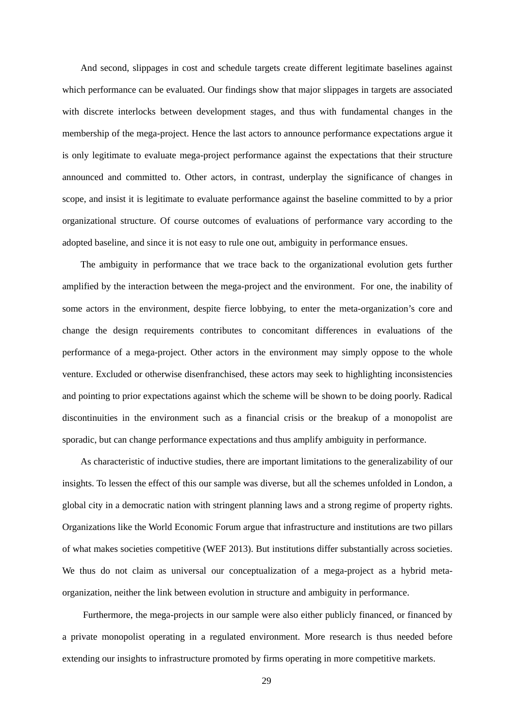And second, slippages in cost and schedule targets create different legitimate baselines against which performance can be evaluated. Our findings show that major slippages in targets are associated with discrete interlocks between development stages, and thus with fundamental changes in the membership of the mega-project. Hence the last actors to announce performance expectations argue it is only legitimate to evaluate mega-project performance against the expectations that their structure announced and committed to. Other actors, in contrast, underplay the significance of changes in scope, and insist it is legitimate to evaluate performance against the baseline committed to by a prior organizational structure. Of course outcomes of evaluations of performance vary according to the adopted baseline, and since it is not easy to rule one out, ambiguity in performance ensues.

The ambiguity in performance that we trace back to the organizational evolution gets further amplified by the interaction between the mega-project and the environment. For one, the inability of some actors in the environment, despite fierce lobbying, to enter the meta-organization's core and change the design requirements contributes to concomitant differences in evaluations of the performance of a mega-project. Other actors in the environment may simply oppose to the whole venture. Excluded or otherwise disenfranchised, these actors may seek to highlighting inconsistencies and pointing to prior expectations against which the scheme will be shown to be doing poorly. Radical discontinuities in the environment such as a financial crisis or the breakup of a monopolist are sporadic, but can change performance expectations and thus amplify ambiguity in performance.

As characteristic of inductive studies, there are important limitations to the generalizability of our insights. To lessen the effect of this our sample was diverse, but all the schemes unfolded in London, a global city in a democratic nation with stringent planning laws and a strong regime of property rights. Organizations like the World Economic Forum argue that infrastructure and institutions are two pillars of what makes societies competitive (WEF 2013). But institutions differ substantially across societies. We thus do not claim as universal our conceptualization of a mega-project as a hybrid metaorganization, neither the link between evolution in structure and ambiguity in performance.

 Furthermore, the mega-projects in our sample were also either publicly financed, or financed by a private monopolist operating in a regulated environment. More research is thus needed before extending our insights to infrastructure promoted by firms operating in more competitive markets.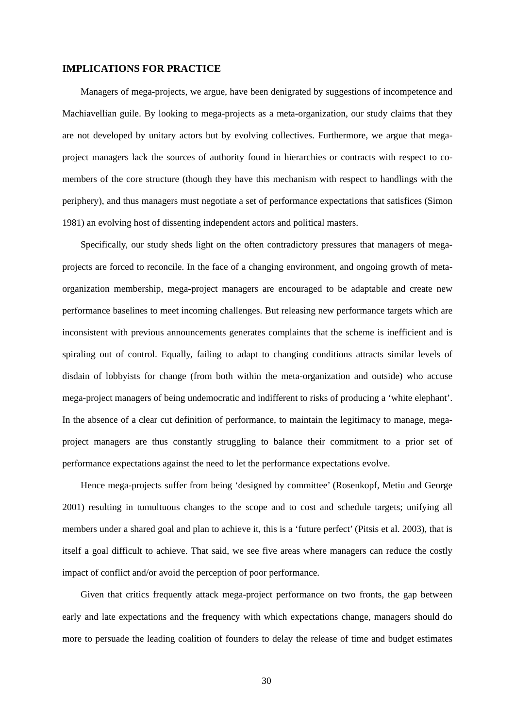#### **IMPLICATIONS FOR PRACTICE**

Managers of mega-projects, we argue, have been denigrated by suggestions of incompetence and Machiavellian guile. By looking to mega-projects as a meta-organization, our study claims that they are not developed by unitary actors but by evolving collectives. Furthermore, we argue that megaproject managers lack the sources of authority found in hierarchies or contracts with respect to comembers of the core structure (though they have this mechanism with respect to handlings with the periphery), and thus managers must negotiate a set of performance expectations that satisfices (Simon 1981) an evolving host of dissenting independent actors and political masters.

Specifically, our study sheds light on the often contradictory pressures that managers of megaprojects are forced to reconcile. In the face of a changing environment, and ongoing growth of metaorganization membership, mega-project managers are encouraged to be adaptable and create new performance baselines to meet incoming challenges. But releasing new performance targets which are inconsistent with previous announcements generates complaints that the scheme is inefficient and is spiraling out of control. Equally, failing to adapt to changing conditions attracts similar levels of disdain of lobbyists for change (from both within the meta-organization and outside) who accuse mega-project managers of being undemocratic and indifferent to risks of producing a 'white elephant'. In the absence of a clear cut definition of performance, to maintain the legitimacy to manage, megaproject managers are thus constantly struggling to balance their commitment to a prior set of performance expectations against the need to let the performance expectations evolve.

Hence mega-projects suffer from being 'designed by committee' (Rosenkopf, Metiu and George 2001) resulting in tumultuous changes to the scope and to cost and schedule targets; unifying all members under a shared goal and plan to achieve it, this is a 'future perfect' (Pitsis et al. 2003), that is itself a goal difficult to achieve. That said, we see five areas where managers can reduce the costly impact of conflict and/or avoid the perception of poor performance.

Given that critics frequently attack mega-project performance on two fronts, the gap between early and late expectations and the frequency with which expectations change, managers should do more to persuade the leading coalition of founders to delay the release of time and budget estimates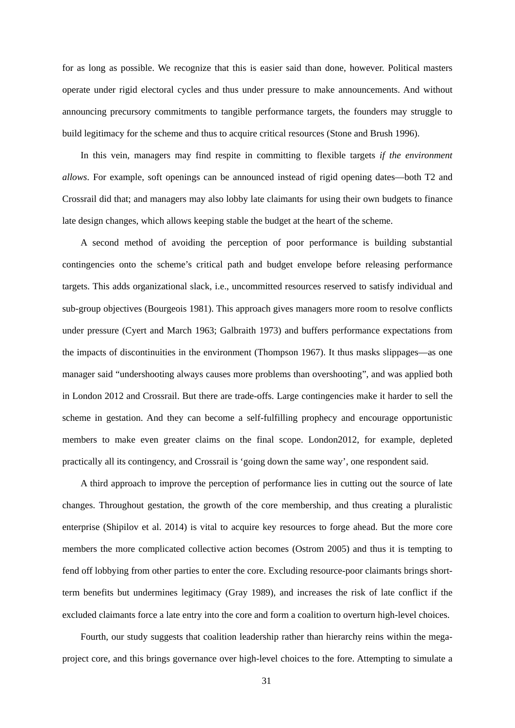for as long as possible. We recognize that this is easier said than done, however. Political masters operate under rigid electoral cycles and thus under pressure to make announcements. And without announcing precursory commitments to tangible performance targets, the founders may struggle to build legitimacy for the scheme and thus to acquire critical resources (Stone and Brush 1996).

In this vein, managers may find respite in committing to flexible targets *if the environment allows*. For example, soft openings can be announced instead of rigid opening dates—both T2 and Crossrail did that; and managers may also lobby late claimants for using their own budgets to finance late design changes, which allows keeping stable the budget at the heart of the scheme.

A second method of avoiding the perception of poor performance is building substantial contingencies onto the scheme's critical path and budget envelope before releasing performance targets. This adds organizational slack, i.e., uncommitted resources reserved to satisfy individual and sub-group objectives (Bourgeois 1981). This approach gives managers more room to resolve conflicts under pressure (Cyert and March 1963; Galbraith 1973) and buffers performance expectations from the impacts of discontinuities in the environment (Thompson 1967). It thus masks slippages—as one manager said "undershooting always causes more problems than overshooting", and was applied both in London 2012 and Crossrail. But there are trade-offs. Large contingencies make it harder to sell the scheme in gestation. And they can become a self-fulfilling prophecy and encourage opportunistic members to make even greater claims on the final scope. London2012, for example, depleted practically all its contingency, and Crossrail is 'going down the same way', one respondent said.

A third approach to improve the perception of performance lies in cutting out the source of late changes. Throughout gestation, the growth of the core membership, and thus creating a pluralistic enterprise (Shipilov et al. 2014) is vital to acquire key resources to forge ahead. But the more core members the more complicated collective action becomes (Ostrom 2005) and thus it is tempting to fend off lobbying from other parties to enter the core. Excluding resource-poor claimants brings shortterm benefits but undermines legitimacy (Gray 1989), and increases the risk of late conflict if the excluded claimants force a late entry into the core and form a coalition to overturn high-level choices.

Fourth, our study suggests that coalition leadership rather than hierarchy reins within the megaproject core, and this brings governance over high-level choices to the fore. Attempting to simulate a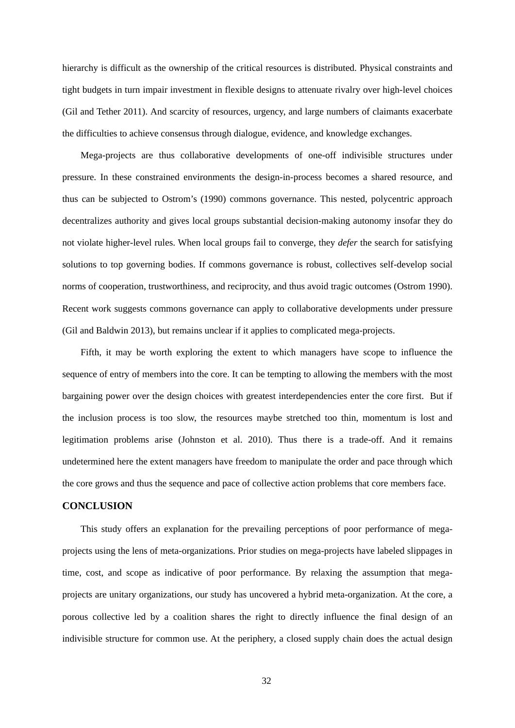hierarchy is difficult as the ownership of the critical resources is distributed. Physical constraints and tight budgets in turn impair investment in flexible designs to attenuate rivalry over high-level choices (Gil and Tether 2011). And scarcity of resources, urgency, and large numbers of claimants exacerbate the difficulties to achieve consensus through dialogue, evidence, and knowledge exchanges.

Mega-projects are thus collaborative developments of one-off indivisible structures under pressure. In these constrained environments the design-in-process becomes a shared resource, and thus can be subjected to Ostrom's (1990) commons governance. This nested, polycentric approach decentralizes authority and gives local groups substantial decision-making autonomy insofar they do not violate higher-level rules. When local groups fail to converge, they *defer* the search for satisfying solutions to top governing bodies. If commons governance is robust, collectives self-develop social norms of cooperation, trustworthiness, and reciprocity, and thus avoid tragic outcomes (Ostrom 1990). Recent work suggests commons governance can apply to collaborative developments under pressure (Gil and Baldwin 2013), but remains unclear if it applies to complicated mega-projects.

Fifth, it may be worth exploring the extent to which managers have scope to influence the sequence of entry of members into the core. It can be tempting to allowing the members with the most bargaining power over the design choices with greatest interdependencies enter the core first. But if the inclusion process is too slow, the resources maybe stretched too thin, momentum is lost and legitimation problems arise (Johnston et al. 2010). Thus there is a trade-off. And it remains undetermined here the extent managers have freedom to manipulate the order and pace through which the core grows and thus the sequence and pace of collective action problems that core members face.

# **CONCLUSION**

This study offers an explanation for the prevailing perceptions of poor performance of megaprojects using the lens of meta-organizations. Prior studies on mega-projects have labeled slippages in time, cost, and scope as indicative of poor performance. By relaxing the assumption that megaprojects are unitary organizations, our study has uncovered a hybrid meta-organization. At the core, a porous collective led by a coalition shares the right to directly influence the final design of an indivisible structure for common use. At the periphery, a closed supply chain does the actual design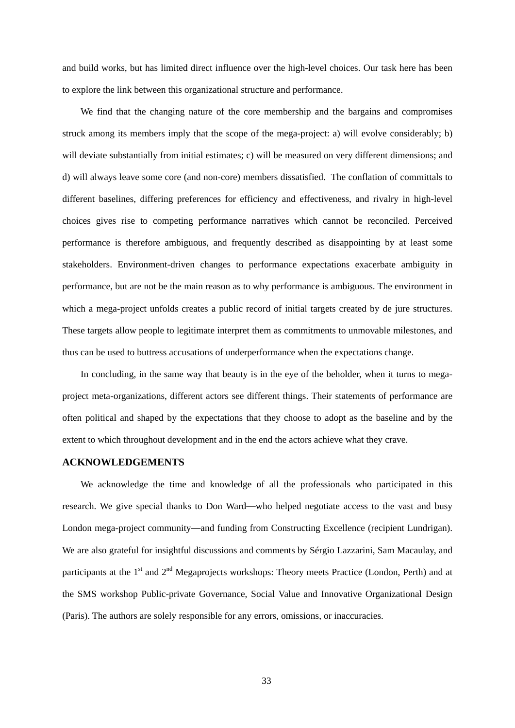and build works, but has limited direct influence over the high-level choices. Our task here has been to explore the link between this organizational structure and performance.

We find that the changing nature of the core membership and the bargains and compromises struck among its members imply that the scope of the mega-project: a) will evolve considerably; b) will deviate substantially from initial estimates; c) will be measured on very different dimensions; and d) will always leave some core (and non-core) members dissatisfied. The conflation of committals to different baselines, differing preferences for efficiency and effectiveness, and rivalry in high-level choices gives rise to competing performance narratives which cannot be reconciled. Perceived performance is therefore ambiguous, and frequently described as disappointing by at least some stakeholders. Environment-driven changes to performance expectations exacerbate ambiguity in performance, but are not be the main reason as to why performance is ambiguous. The environment in which a mega-project unfolds creates a public record of initial targets created by de jure structures. These targets allow people to legitimate interpret them as commitments to unmovable milestones, and thus can be used to buttress accusations of underperformance when the expectations change.

In concluding, in the same way that beauty is in the eye of the beholder, when it turns to megaproject meta-organizations, different actors see different things. Their statements of performance are often political and shaped by the expectations that they choose to adopt as the baseline and by the extent to which throughout development and in the end the actors achieve what they crave.

#### **ACKNOWLEDGEMENTS**

We acknowledge the time and knowledge of all the professionals who participated in this research. We give special thanks to Don Ward—who helped negotiate access to the vast and busy London mega-project community—and funding from Constructing Excellence (recipient Lundrigan). We are also grateful for insightful discussions and comments by Sérgio Lazzarini, Sam Macaulay, and participants at the  $1<sup>st</sup>$  and  $2<sup>nd</sup>$  Megaprojects workshops: Theory meets Practice (London, Perth) and at the SMS workshop Public-private Governance, Social Value and Innovative Organizational Design (Paris). The authors are solely responsible for any errors, omissions, or inaccuracies.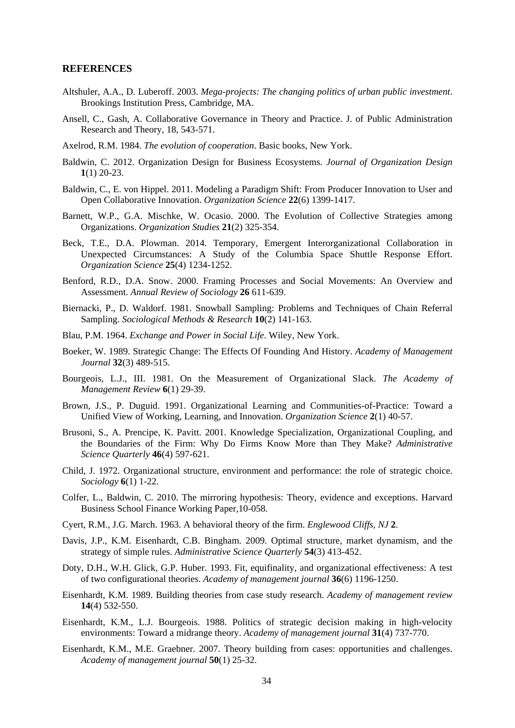#### **REFERENCES**

- Altshuler, A.A., D. Luberoff. 2003. *Mega-projects: The changing politics of urban public investment*. Brookings Institution Press, Cambridge, MA.
- Ansell, C., Gash, A. Collaborative Governance in Theory and Practice. J. of Public Administration Research and Theory, 18, 543-571.
- Axelrod, R.M. 1984. *The evolution of cooperation*. Basic books, New York.
- Baldwin, C. 2012. Organization Design for Business Ecosystems. *Journal of Organization Design* **1**(1) 20-23.
- Baldwin, C., E. von Hippel. 2011. Modeling a Paradigm Shift: From Producer Innovation to User and Open Collaborative Innovation. *Organization Science* **22**(6) 1399-1417.
- Barnett, W.P., G.A. Mischke, W. Ocasio. 2000. The Evolution of Collective Strategies among Organizations. *Organization Studies* **21**(2) 325-354.
- Beck, T.E., D.A. Plowman. 2014. Temporary, Emergent Interorganizational Collaboration in Unexpected Circumstances: A Study of the Columbia Space Shuttle Response Effort. *Organization Science* **25**(4) 1234-1252.
- Benford, R.D., D.A. Snow. 2000. Framing Processes and Social Movements: An Overview and Assessment. *Annual Review of Sociology* **26** 611-639.
- Biernacki, P., D. Waldorf. 1981. Snowball Sampling: Problems and Techniques of Chain Referral Sampling. *Sociological Methods & Research* **10**(2) 141-163.
- Blau, P.M. 1964. *Exchange and Power in Social Life*. Wiley, New York.
- Boeker, W. 1989. Strategic Change: The Effects Of Founding And History. *Academy of Management Journal* **32**(3) 489-515.
- Bourgeois, L.J., III. 1981. On the Measurement of Organizational Slack. *The Academy of Management Review* **6**(1) 29-39.
- Brown, J.S., P. Duguid. 1991. Organizational Learning and Communities-of-Practice: Toward a Unified View of Working, Learning, and Innovation. *Organization Science* **2**(1) 40-57.
- Brusoni, S., A. Prencipe, K. Pavitt. 2001. Knowledge Specialization, Organizational Coupling, and the Boundaries of the Firm: Why Do Firms Know More than They Make? *Administrative Science Quarterly* **46**(4) 597-621.
- Child, J. 1972. Organizational structure, environment and performance: the role of strategic choice. *Sociology* **6**(1) 1-22.
- Colfer, L., Baldwin, C. 2010. The mirroring hypothesis: Theory, evidence and exceptions. Harvard Business School Finance Working Paper,10-058.
- Cyert, R.M., J.G. March. 1963. A behavioral theory of the firm. *Englewood Cliffs, NJ* **2**.
- Davis, J.P., K.M. Eisenhardt, C.B. Bingham. 2009. Optimal structure, market dynamism, and the strategy of simple rules. *Administrative Science Quarterly* **54**(3) 413-452.
- Doty, D.H., W.H. Glick, G.P. Huber. 1993. Fit, equifinality, and organizational effectiveness: A test of two configurational theories. *Academy of management journal* **36**(6) 1196-1250.
- Eisenhardt, K.M. 1989. Building theories from case study research. *Academy of management review* **14**(4) 532-550.
- Eisenhardt, K.M., L.J. Bourgeois. 1988. Politics of strategic decision making in high-velocity environments: Toward a midrange theory. *Academy of management journal* **31**(4) 737-770.
- Eisenhardt, K.M., M.E. Graebner. 2007. Theory building from cases: opportunities and challenges. *Academy of management journal* **50**(1) 25-32.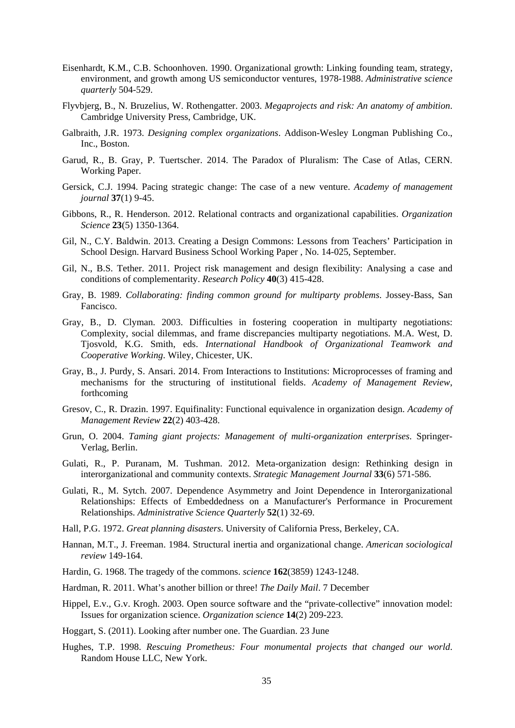- Eisenhardt, K.M., C.B. Schoonhoven. 1990. Organizational growth: Linking founding team, strategy, environment, and growth among US semiconductor ventures, 1978-1988. *Administrative science quarterly* 504-529.
- Flyvbjerg, B., N. Bruzelius, W. Rothengatter. 2003. *Megaprojects and risk: An anatomy of ambition*. Cambridge University Press, Cambridge, UK.
- Galbraith, J.R. 1973. *Designing complex organizations*. Addison-Wesley Longman Publishing Co., Inc., Boston.
- Garud, R., B. Gray, P. Tuertscher. 2014. The Paradox of Pluralism: The Case of Atlas, CERN. Working Paper.
- Gersick, C.J. 1994. Pacing strategic change: The case of a new venture. *Academy of management journal* **37**(1) 9-45.
- Gibbons, R., R. Henderson. 2012. Relational contracts and organizational capabilities. *Organization Science* **23**(5) 1350-1364.
- Gil, N., C.Y. Baldwin. 2013. Creating a Design Commons: Lessons from Teachers' Participation in School Design. Harvard Business School Working Paper , No. 14-025, September.
- Gil, N., B.S. Tether. 2011. Project risk management and design flexibility: Analysing a case and conditions of complementarity. *Research Policy* **40**(3) 415-428.
- Gray, B. 1989. *Collaborating: finding common ground for multiparty problems*. Jossey-Bass, San Fancisco.
- Gray, B., D. Clyman. 2003. Difficulties in fostering cooperation in multiparty negotiations: Complexity, social dilemmas, and frame discrepancies multiparty negotiations. M.A. West, D. Tjosvold, K.G. Smith, eds. *International Handbook of Organizational Teamwork and Cooperative Working*. Wiley, Chicester, UK.
- Gray, B., J. Purdy, S. Ansari. 2014. From Interactions to Institutions: Microprocesses of framing and mechanisms for the structuring of institutional fields. *Academy of Management Review*, forthcoming
- Gresov, C., R. Drazin. 1997. Equifinality: Functional equivalence in organization design. *Academy of Management Review* **22**(2) 403-428.
- Grun, O. 2004. *Taming giant projects: Management of multi-organization enterprises*. Springer-Verlag, Berlin.
- Gulati, R., P. Puranam, M. Tushman. 2012. Meta-organization design: Rethinking design in interorganizational and community contexts. *Strategic Management Journal* **33**(6) 571-586.
- Gulati, R., M. Sytch. 2007. Dependence Asymmetry and Joint Dependence in Interorganizational Relationships: Effects of Embeddedness on a Manufacturer's Performance in Procurement Relationships. *Administrative Science Quarterly* **52**(1) 32-69.
- Hall, P.G. 1972. *Great planning disasters*. University of California Press, Berkeley, CA.
- Hannan, M.T., J. Freeman. 1984. Structural inertia and organizational change. *American sociological review* 149-164.
- Hardin, G. 1968. The tragedy of the commons. *science* **162**(3859) 1243-1248.
- Hardman, R. 2011. What's another billion or three! *The Daily Mail*. 7 December
- Hippel, E.v., G.v. Krogh. 2003. Open source software and the "private-collective" innovation model: Issues for organization science. *Organization science* **14**(2) 209-223.
- Hoggart, S. (2011). Looking after number one. The Guardian. 23 June
- Hughes, T.P. 1998. *Rescuing Prometheus: Four monumental projects that changed our world*. Random House LLC, New York.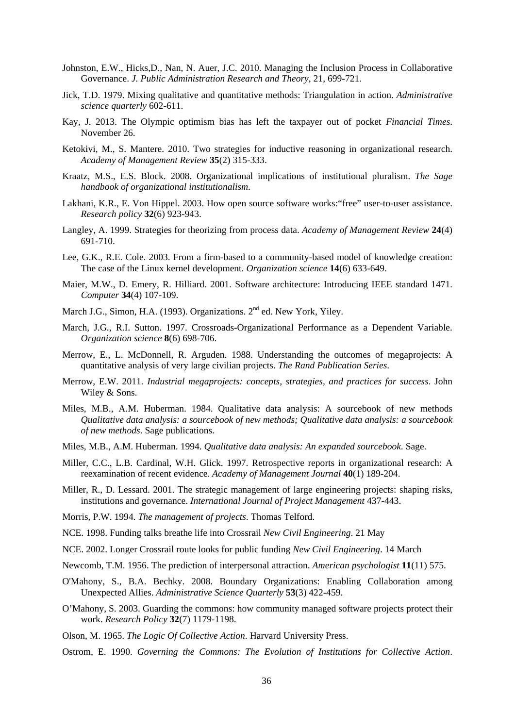- Johnston, E.W., Hicks,D., Nan, N. Auer, J.C. 2010. Managing the Inclusion Process in Collaborative Governance. *J. Public Administration Research and Theory*, 21, 699-721.
- Jick, T.D. 1979. Mixing qualitative and quantitative methods: Triangulation in action. *Administrative science quarterly* 602-611.
- Kay, J. 2013. The Olympic optimism bias has left the taxpayer out of pocket *Financial Times*. November 26.
- Ketokivi, M., S. Mantere. 2010. Two strategies for inductive reasoning in organizational research. *Academy of Management Review* **35**(2) 315-333.
- Kraatz, M.S., E.S. Block. 2008. Organizational implications of institutional pluralism. *The Sage handbook of organizational institutionalism*.
- Lakhani, K.R., E. Von Hippel. 2003. How open source software works:"free" user-to-user assistance. *Research policy* **32**(6) 923-943.
- Langley, A. 1999. Strategies for theorizing from process data. *Academy of Management Review* **24**(4) 691-710.
- Lee, G.K., R.E. Cole. 2003. From a firm-based to a community-based model of knowledge creation: The case of the Linux kernel development. *Organization science* **14**(6) 633-649.
- Maier, M.W., D. Emery, R. Hilliard. 2001. Software architecture: Introducing IEEE standard 1471. *Computer* **34**(4) 107-109.
- March J.G., Simon, H.A. (1993). Organizations. 2<sup>nd</sup> ed. New York, Yiley.
- March, J.G., R.I. Sutton. 1997. Crossroads-Organizational Performance as a Dependent Variable. *Organization science* **8**(6) 698-706.
- Merrow, E., L. McDonnell, R. Arguden. 1988. Understanding the outcomes of megaprojects: A quantitative analysis of very large civilian projects. *The Rand Publication Series*.
- Merrow, E.W. 2011. *Industrial megaprojects: concepts, strategies, and practices for success*. John Wiley & Sons.
- Miles, M.B., A.M. Huberman. 1984. Qualitative data analysis: A sourcebook of new methods *Qualitative data analysis: a sourcebook of new methods; Qualitative data analysis: a sourcebook of new methods*. Sage publications.
- Miles, M.B., A.M. Huberman. 1994. *Qualitative data analysis: An expanded sourcebook*. Sage.
- Miller, C.C., L.B. Cardinal, W.H. Glick. 1997. Retrospective reports in organizational research: A reexamination of recent evidence. *Academy of Management Journal* **40**(1) 189-204.
- Miller, R., D. Lessard. 2001. The strategic management of large engineering projects: shaping risks, institutions and governance. *International Journal of Project Management* 437-443.
- Morris, P.W. 1994. *The management of projects*. Thomas Telford.
- NCE. 1998. Funding talks breathe life into Crossrail *New Civil Engineering*. 21 May
- NCE. 2002. Longer Crossrail route looks for public funding *New Civil Engineering*. 14 March
- Newcomb, T.M. 1956. The prediction of interpersonal attraction. *American psychologist* **11**(11) 575.
- O'Mahony, S., B.A. Bechky. 2008. Boundary Organizations: Enabling Collaboration among Unexpected Allies. *Administrative Science Quarterly* **53**(3) 422-459.
- O'Mahony, S. 2003. Guarding the commons: how community managed software projects protect their work. *Research Policy* **32**(7) 1179-1198.
- Olson, M. 1965. *The Logic Of Collective Action*. Harvard University Press.
- Ostrom, E. 1990. *Governing the Commons: The Evolution of Institutions for Collective Action*.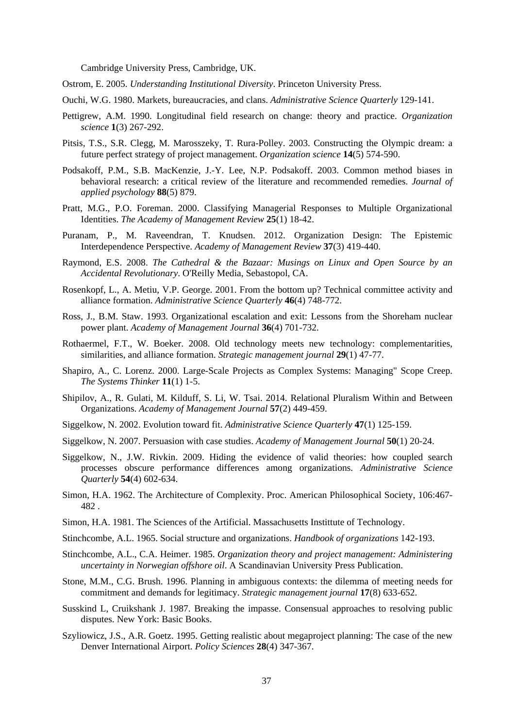Cambridge University Press, Cambridge, UK.

Ostrom, E. 2005. *Understanding Institutional Diversity*. Princeton University Press.

- Ouchi, W.G. 1980. Markets, bureaucracies, and clans. *Administrative Science Quarterly* 129-141.
- Pettigrew, A.M. 1990. Longitudinal field research on change: theory and practice. *Organization science* **1**(3) 267-292.
- Pitsis, T.S., S.R. Clegg, M. Marosszeky, T. Rura-Polley. 2003. Constructing the Olympic dream: a future perfect strategy of project management. *Organization science* **14**(5) 574-590.
- Podsakoff, P.M., S.B. MacKenzie, J.-Y. Lee, N.P. Podsakoff. 2003. Common method biases in behavioral research: a critical review of the literature and recommended remedies. *Journal of applied psychology* **88**(5) 879.
- Pratt, M.G., P.O. Foreman. 2000. Classifying Managerial Responses to Multiple Organizational Identities. *The Academy of Management Review* **25**(1) 18-42.
- Puranam, P., M. Raveendran, T. Knudsen. 2012. Organization Design: The Epistemic Interdependence Perspective. *Academy of Management Review* **37**(3) 419-440.
- Raymond, E.S. 2008. *The Cathedral & the Bazaar: Musings on Linux and Open Source by an Accidental Revolutionary*. O'Reilly Media, Sebastopol, CA.
- Rosenkopf, L., A. Metiu, V.P. George. 2001. From the bottom up? Technical committee activity and alliance formation. *Administrative Science Quarterly* **46**(4) 748-772.
- Ross, J., B.M. Staw. 1993. Organizational escalation and exit: Lessons from the Shoreham nuclear power plant. *Academy of Management Journal* **36**(4) 701-732.
- Rothaermel, F.T., W. Boeker. 2008. Old technology meets new technology: complementarities, similarities, and alliance formation. *Strategic management journal* **29**(1) 47-77.
- Shapiro, A., C. Lorenz. 2000. Large-Scale Projects as Complex Systems: Managing" Scope Creep. *The Systems Thinker* **11**(1) 1-5.
- Shipilov, A., R. Gulati, M. Kilduff, S. Li, W. Tsai. 2014. Relational Pluralism Within and Between Organizations. *Academy of Management Journal* **57**(2) 449-459.
- Siggelkow, N. 2002. Evolution toward fit. *Administrative Science Quarterly* **47**(1) 125-159.
- Siggelkow, N. 2007. Persuasion with case studies. *Academy of Management Journal* **50**(1) 20-24.
- Siggelkow, N., J.W. Rivkin. 2009. Hiding the evidence of valid theories: how coupled search processes obscure performance differences among organizations. *Administrative Science Quarterly* **54**(4) 602-634.
- Simon, H.A. 1962. The Architecture of Complexity. Proc. American Philosophical Society, 106:467- 482 .
- Simon, H.A. 1981. The Sciences of the Artificial. Massachusetts Instittute of Technology.
- Stinchcombe, A.L. 1965. Social structure and organizations. *Handbook of organizations* 142-193.
- Stinchcombe, A.L., C.A. Heimer. 1985. *Organization theory and project management: Administering uncertainty in Norwegian offshore oil*. A Scandinavian University Press Publication.
- Stone, M.M., C.G. Brush. 1996. Planning in ambiguous contexts: the dilemma of meeting needs for commitment and demands for legitimacy. *Strategic management journal* **17**(8) 633-652.
- Susskind L, Cruikshank J. 1987. Breaking the impasse. Consensual approaches to resolving public disputes. New York: Basic Books.
- Szyliowicz, J.S., A.R. Goetz. 1995. Getting realistic about megaproject planning: The case of the new Denver International Airport. *Policy Sciences* **28**(4) 347-367.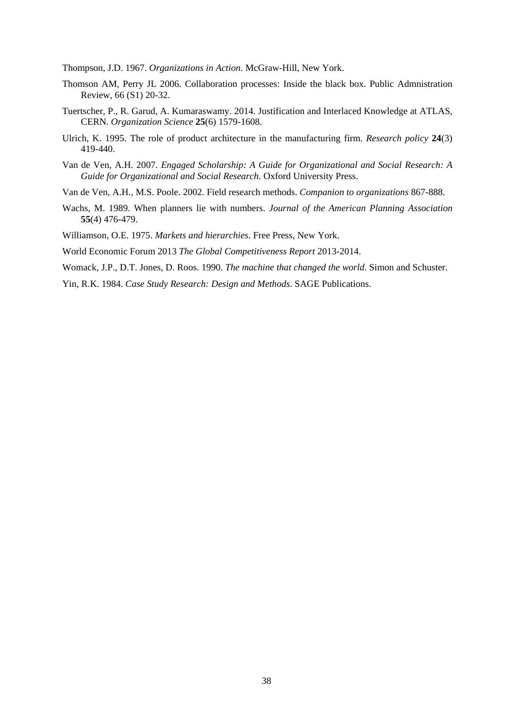Thompson, J.D. 1967. *Organizations in Action*. McGraw-Hill, New York.

- Thomson AM, Perry JL 2006. Collaboration processes: Inside the black box. Public Admnistration Review, 66 (S1) 20-32.
- Tuertscher, P., R. Garud, A. Kumaraswamy. 2014. Justification and Interlaced Knowledge at ATLAS, CERN. *Organization Science* **25**(6) 1579-1608.
- Ulrich, K. 1995. The role of product architecture in the manufacturing firm. *Research policy* **24**(3) 419-440.
- Van de Ven, A.H. 2007. *Engaged Scholarship: A Guide for Organizational and Social Research: A Guide for Organizational and Social Research*. Oxford University Press.
- Van de Ven, A.H., M.S. Poole. 2002. Field research methods. *Companion to organizations* 867-888.
- Wachs, M. 1989. When planners lie with numbers. *Journal of the American Planning Association* **55**(4) 476-479.
- Williamson, O.E. 1975. *Markets and hierarchies*. Free Press, New York.
- World Economic Forum 2013 *The Global Competitiveness Report* 2013-2014.
- Womack, J.P., D.T. Jones, D. Roos. 1990. *The machine that changed the world*. Simon and Schuster.
- Yin, R.K. 1984. *Case Study Research: Design and Methods*. SAGE Publications.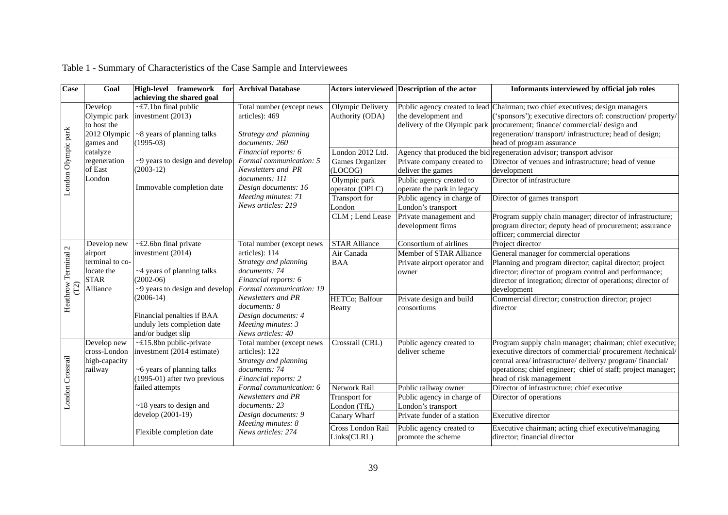| Case                | Goal                                                                | High-level framework for<br>achieving the shared goal                                                                                                                                  | <b>Archival Database</b>                                                                                                                                                                                                                               |                                     | Actors interviewed Description of the actor            | Informants interviewed by official job roles                                                                                                                                                                                                                                                                    |
|---------------------|---------------------------------------------------------------------|----------------------------------------------------------------------------------------------------------------------------------------------------------------------------------------|--------------------------------------------------------------------------------------------------------------------------------------------------------------------------------------------------------------------------------------------------------|-------------------------------------|--------------------------------------------------------|-----------------------------------------------------------------------------------------------------------------------------------------------------------------------------------------------------------------------------------------------------------------------------------------------------------------|
| London Olympic park | Develop<br>Olympic park<br>to host the<br>2012 Olympic<br>games and | $\sim$ £7.1bn final public<br>investment (2013)<br>$\sim$ 8 years of planning talks<br>$(1995-03)$<br>$\sim$ 9 years to design and develop<br>$(2003-12)$<br>Immovable completion date | Total number (except news<br>articles): 469<br>Strategy and planning<br>documents: 260<br>Financial reports: 6<br>Formal communication: 5<br>Newsletters and PR<br>documents: 111<br>Design documents: 16<br>Meeting minutes: 71<br>News articles: 219 | Olympic Delivery<br>Authority (ODA) | the development and                                    | Public agency created to lead Chairman; two chief executives; design managers<br>'sponsors'); executive directors of: construction/ property/<br>delivery of the Olympic park procurement; finance/commercial/design and<br>regeneration/transport/infrastructure; head of design;<br>head of program assurance |
|                     | catalyze                                                            |                                                                                                                                                                                        |                                                                                                                                                                                                                                                        | London 2012 Ltd.                    |                                                        | Agency that produced the bid regeneration advisor; transport advisor                                                                                                                                                                                                                                            |
|                     | regeneration<br>of East<br>London                                   |                                                                                                                                                                                        |                                                                                                                                                                                                                                                        | Games Organizer<br>(LOCOG)          | Private company created to<br>deliver the games        | Director of venues and infrastructure; head of venue<br>development                                                                                                                                                                                                                                             |
|                     |                                                                     |                                                                                                                                                                                        |                                                                                                                                                                                                                                                        | Olympic park<br>operator (OPLC)     | Public agency created to<br>operate the park in legacy | Director of infrastructure                                                                                                                                                                                                                                                                                      |
|                     |                                                                     |                                                                                                                                                                                        |                                                                                                                                                                                                                                                        | Transport for<br>London             | Public agency in charge of<br>London's transport       | Director of games transport                                                                                                                                                                                                                                                                                     |
|                     |                                                                     |                                                                                                                                                                                        |                                                                                                                                                                                                                                                        | CLM ; Lend Lease                    | Private management and<br>development firms            | Program supply chain manager; director of infrastructure;<br>program director; deputy head of procurement; assurance<br>officer; commercial director                                                                                                                                                            |
| Heathrow Terminal 2 | Develop new                                                         | $\sim$ £2.6bn final private<br>Total number (except news                                                                                                                               |                                                                                                                                                                                                                                                        | <b>STAR Alliance</b>                | Consortium of airlines                                 | Project director                                                                                                                                                                                                                                                                                                |
|                     | airport                                                             | investment (2014)<br>~4 years of planning talks<br>$(2002-06)$<br>~9 years to design and develop                                                                                       | articles): 114<br>Strategy and planning<br>documents: 74<br>Financial reports: 6<br>Formal communication: 19<br>Newsletters and PR<br>documents: 8<br>Design documents: 4<br>Meeting minutes: 3<br>News articles: 40                                   | Air Canada                          | Member of STAR Alliance                                | General manager for commercial operations                                                                                                                                                                                                                                                                       |
|                     | terminal to co-<br>locate the<br><b>STAR</b><br>Alliance            |                                                                                                                                                                                        |                                                                                                                                                                                                                                                        | <b>BAA</b>                          | Private airport operator and<br>owner                  | Planning and program director; capital director; project<br>director; director of program control and performance;<br>director of integration; director of operations; director of<br>development                                                                                                               |
|                     |                                                                     | $(2006-14)$<br>Financial penalties if BAA<br>unduly lets completion date<br>and/or budget slip                                                                                         |                                                                                                                                                                                                                                                        | HETCo; Balfour<br><b>Beatty</b>     | Private design and build<br>consortiums                | Commercial director; construction director; project<br>director                                                                                                                                                                                                                                                 |
| London Crossrail    | Develop new<br>cross-London<br>high-capacity<br>railway             | $\sim$ £15.8bn public-private<br>investment (2014 estimate)<br>~6 years of planning talks<br>(1995-01) after two previous                                                              | Total number (except news<br>articles): 122<br>Strategy and planning<br>documents: 74<br>Financial reports: 2<br>Formal communication: 6<br>Newsletters and PR<br>documents: 23<br>Design documents: 9<br>Meeting minutes: 8<br>News articles: 274     | Crossrail (CRL)                     | Public agency created to<br>deliver scheme             | Program supply chain manager; chairman; chief executive;<br>executive directors of commercial/procurement/technical/<br>central area/infrastructure/delivery/program/financial/<br>operations; chief engineer; chief of staff; project manager;<br>head of risk management                                      |
|                     |                                                                     | failed attempts                                                                                                                                                                        |                                                                                                                                                                                                                                                        | Network Rail                        | Public railway owner                                   | Director of infrastructure; chief executive                                                                                                                                                                                                                                                                     |
|                     |                                                                     | $~18$ years to design and                                                                                                                                                              |                                                                                                                                                                                                                                                        | Transport for<br>London (TfL)       | Public agency in charge of<br>London's transport       | Director of operations                                                                                                                                                                                                                                                                                          |
|                     |                                                                     | develop (2001-19)                                                                                                                                                                      |                                                                                                                                                                                                                                                        | Canary Wharf                        | Private funder of a station                            | Executive director                                                                                                                                                                                                                                                                                              |
|                     |                                                                     | Flexible completion date                                                                                                                                                               |                                                                                                                                                                                                                                                        | Cross London Rail<br>Links(CLRL)    | Public agency created to<br>promote the scheme         | Executive chairman; acting chief executive/managing<br>director; financial director                                                                                                                                                                                                                             |

# Table 1 - Summary of Characteristics of the Case Sample and Interviewees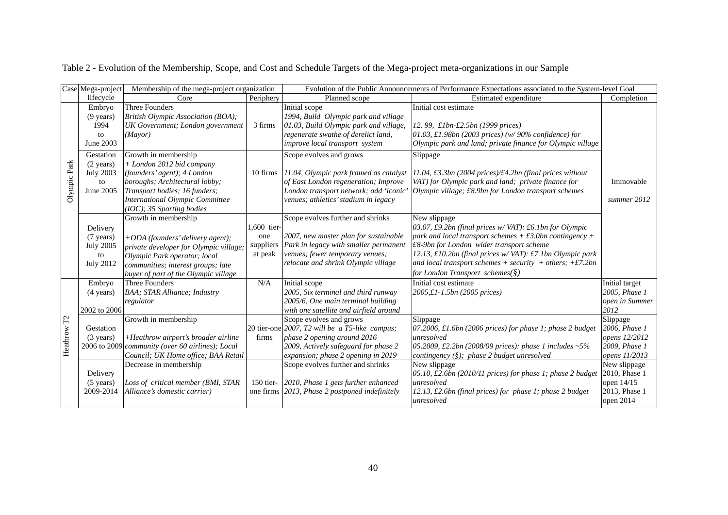|                         | Case Mega-project<br>Membership of the mega-project organization        |                                                                                                                                                                                                                     |                                            | Evolution of the Public Announcements of Performance Expectations associated to the System-level Goal                                                                                         |                                                                                                                                                                                                                                                                                                                                                    |                                                                              |  |
|-------------------------|-------------------------------------------------------------------------|---------------------------------------------------------------------------------------------------------------------------------------------------------------------------------------------------------------------|--------------------------------------------|-----------------------------------------------------------------------------------------------------------------------------------------------------------------------------------------------|----------------------------------------------------------------------------------------------------------------------------------------------------------------------------------------------------------------------------------------------------------------------------------------------------------------------------------------------------|------------------------------------------------------------------------------|--|
|                         | lifecycle                                                               | Core                                                                                                                                                                                                                | Periphery                                  | Planned scope                                                                                                                                                                                 | Estimated expenditure                                                                                                                                                                                                                                                                                                                              | Completion                                                                   |  |
| Olympic Park            | Embryo<br>$(9 \text{ years})$<br>1994<br>to<br>June 2003                | Three Founders<br>British Olympic Association (BOA);<br><b>UK</b> Government; London government<br>(Mavor)                                                                                                          | 3 firms                                    | Initial scope<br>1994, Build Olympic park and village<br>01.03, Build Olympic park and village,<br>regenerate swathe of derelict land,<br>improve local transport system                      | Initial cost estimate<br>12. 99, $£1bn-E2.5bn$ (1999 prices)<br>01.03, £1.98bn (2003 prices) (w/90% confidence) for<br>Olympic park and land; private finance for Olympic village                                                                                                                                                                  |                                                                              |  |
|                         | Gestation<br>$(2 \text{ years})$<br><b>July 2003</b><br>to<br>June 2005 | Growth in membership<br>+ London 2012 bid company<br>(founders' agent); 4 London<br>boroughs; Architectural lobby;<br>Transport bodies; 16 funders;<br>International Olympic Committee<br>(IOC); 35 Sporting bodies | 10 firms                                   | Scope evolves and grows<br>11.04, Olympic park framed as catalyst<br>of East London regeneration; Improve<br>London transport network; add 'iconic'<br>venues; athletics' stadium in legacy   | Slippage<br>11.04, £3.3bn (2004 prices)/£4.2bn (final prices without<br>VAT) for Olympic park and land; private finance for<br>Olympic village; £8.9bn for London transport schemes                                                                                                                                                                | Immovable<br>summer 2012                                                     |  |
|                         | Delivery<br>(7 years)<br><b>July 2005</b><br>to<br><b>July 2012</b>     | Growth in membership<br>$+ ODA$ (founders' delivery agent);<br>private developer for Olympic village;<br>Olympic Park operator; local<br>communities; interest groups; late<br>buyer of part of the Olympic village | 1,600 tier-<br>one<br>suppliers<br>at peak | Scope evolves further and shrinks<br>2007, new master plan for sustainable<br>Park in legacy with smaller permanent<br>venues; fewer temporary venues;<br>relocate and shrink Olympic village | New slippage<br>03.07, £9.2bn (final prices w/VAT): £6.1bn for Olympic<br>park and local transport schemes $+ £3.0$ bn contingency +<br>£8-9bn for London wider transport scheme<br>12.13, £10.2bn (final prices w/VAT): £7.1bn Olympic park<br>and local transport schemes + security + others; $+£7.2bn$<br>for London Transport schemes( $\S$ ) |                                                                              |  |
| Heathrow T <sub>2</sub> | Embryo<br>$(4 \text{ years})$<br>2002 to 2006                           | Three Founders<br>BAA; STAR Alliance; Industry<br>regulator                                                                                                                                                         | N/A                                        | Initial scope<br>2005, Six terminal and third runway<br>2005/6, One main terminal building<br>with one satellite and airfield around                                                          | Initial cost estimate<br>2005,£1-1.5bn (2005 prices)                                                                                                                                                                                                                                                                                               | Initial target<br>2005, Phase 1<br>open in Summer<br>2012                    |  |
|                         | Gestation<br>$(3 \text{ years})$                                        | Growth in membership<br>+Heathrow airport's broader airline<br>2006 to 2009 community (over 60 airlines); Local<br>Council; UK Home office; BAA Retail                                                              | firms                                      | Scope evolves and grows<br>20 tier-one 2007, T2 will be a T5-like campus;<br>phase 2 opening around 2016<br>2009, Actively safeguard for phase 2<br>expansion; phase 2 opening in 2019        | Slippage<br>$07.2006$ , £1.6bn (2006 prices) for phase 1; phase 2 budget<br>unresolved<br>05.2009, £2.2bn (2008/09 prices): phase 1 includes ~5%<br>contingency $(\S)$ ; phase 2 budget unresolved                                                                                                                                                 | Slippage<br>2006, Phase 1<br>opens 12/2012<br>2009, Phase 1<br>opens 11/2013 |  |
|                         | Delivery<br>$(5 \text{ years})$<br>2009-2014                            | Decrease in membership<br>Loss of critical member (BMI, STAR<br>Alliance's domestic carrier)                                                                                                                        | $150$ tier-                                | Scope evolves further and shrinks<br>2010, Phase 1 gets further enhanced<br>one firms 2013, Phase 2 postponed indefinitely                                                                    | New slippage<br>05.10, £2.6bn (2010/11 prices) for phase 1; phase 2 budget<br>unresolved<br>12.13, £2.6bn (final prices) for phase 1; phase 2 budget<br>unresolved                                                                                                                                                                                 | New slippage<br>2010, Phase 1<br>open 14/15<br>2013, Phase 1<br>open 2014    |  |

Table 2 - Evolution of the Membership, Scope, and Cost and Schedule Targets of the Mega-project meta-organizations in our Sample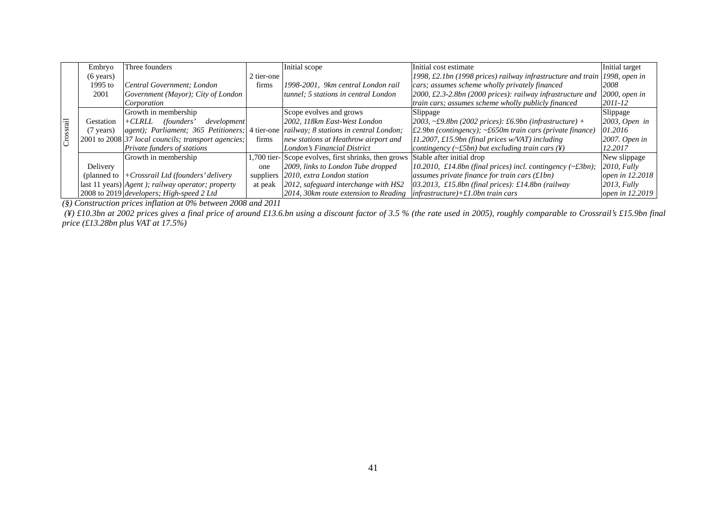|           | Embryo              | Three founders                                                                          |            | Initial scope                                                                     | Initial cost estimate                                                                     | Initial target   |
|-----------|---------------------|-----------------------------------------------------------------------------------------|------------|-----------------------------------------------------------------------------------|-------------------------------------------------------------------------------------------|------------------|
| Crossrail | $(6 \text{ years})$ |                                                                                         | 2 tier-one |                                                                                   | 1998, £2.1bn (1998 prices) railway infrastructure and train 1998, open in                 |                  |
|           | $1995$ to           | Central Government: London                                                              | firms      | [1998-2001, 9km central London rail]                                              | cars; assumes scheme wholly privately financed                                            | 2008             |
|           | 2001                | Government (Mayor); City of London                                                      |            | tunnel; 5 stations in central London                                              | 2000, £2.3-2.8bn (2000 prices): railway infrastructure and                                | $2000$ , open in |
|           |                     | Corporation                                                                             |            |                                                                                   | train cars; assumes scheme wholly publicly financed                                       | $2011 - 12$      |
|           |                     | Growth in membership                                                                    |            | Scope evolves and grows                                                           | Slippage                                                                                  | Slippage         |
|           | Gestation           | (founders'<br>$+CLRLL$<br>development                                                   |            | 2002, 118km East-West London                                                      | $[2003, -£9.8bn (2002 prices): £6.9bn (infrastructure) +$                                 | 2003, Open in    |
|           | $(7 \text{ years})$ | agent); Parliament; 365 Petitioners; 4 tier-one  railway; 8 stations in central London; |            |                                                                                   | £2.9bn (contingency); ~£650m train cars (private finance)                                 | 01.2016          |
|           |                     | 2001 to 2008 37 local councils; transport agencies;                                     | firms      | new stations at Heathrow airport and                                              | $11.2007$ , £15.9bn (final prices w/VAT) including                                        | 2007. Open in    |
|           |                     | Private funders of stations                                                             |            | London's Financial District                                                       | contingency (~£5bn) but excluding train cars (\int_                                       | 12.2017          |
|           |                     | Growth in membership                                                                    |            | 1,700 tier-Scope evolves, first shrinks, then grows Stable after initial drop     |                                                                                           | New slippage     |
|           | Delivery            |                                                                                         | one        | 2009, links to London Tube dropped                                                | 10.2010, £14.8bn (final prices) incl. contingency $(\sim \text{\textsterling}3bn)$ ;      | $2010$ , Fully   |
|           |                     | (planned to $\left  + Crossraid$ Ltd (founders' delivery                                |            | suppliers 2010, extra London station                                              | assumes private finance for train cars $(flbn)$                                           | open in 12.2018  |
|           |                     | last 11 years) Agent ); railway operator; property                                      | at peak    | 2012, safeguard interchange with HS2                                              | $[03.2013, \; \pounds15.8bn \; (\text{final prices}) : \pounds14.8bn \; (\text{railway})$ | $2013$ , Fully   |
|           |                     | 2008 to 2019 developers; High-speed 2 Ltd                                               |            | $2014$ , 30km route extension to Reading $\int$ infrastructure)+£1.0bn train cars |                                                                                           | open in 12.2019  |

*(§) Construction prices inflation at 0% between 2008 and 2011* 

 *(¥) £10.3bn at 2002 prices gives a final price of around £13.6.bn using a discount factor of 3.5 % (the rate used in 2005), roughly comparable to Crossrail's £15.9bn final price (£13.28bn plus VAT at 17.5%)*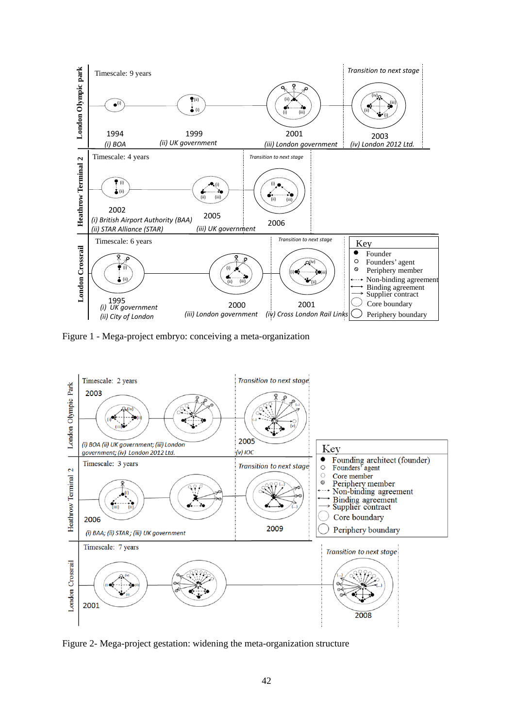

Figure 1 - Mega-project embryo: conceiving a meta-organization